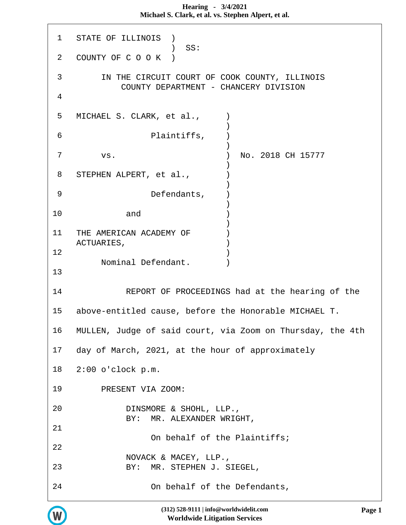**Hearing - 3/4/2021 Michael S. Clark, et al. vs. Stephen Alpert, et al.**

 1 STATE OF ILLINOIS ) ) SS: 2 COUNTY OF C O O K ) 3 IN THE CIRCUIT COURT OF COOK COUNTY, ILLINOIS COUNTY DEPARTMENT - CHANCERY DIVISION 4 5 MICHAEL S. CLARK, et al.,  $\qquad$  )  $)$  6 Plaintiffs, )  $)$  7 vs. ) No. 2018 CH 15777  $)$ 8 STEPHEN ALPERT, et al.,  $\qquad \qquad$  )  $)$  9 Defendants, )  $)$ 10 and )  $)$ 11 THE AMERICAN ACADEMY OF ACTUARIES,  $12$  ) Nominal Defendant. ) 13 14 REPORT OF PROCEEDINGS had at the hearing of the 15 above-entitled cause, before the Honorable MICHAEL T. 16 MULLEN, Judge of said court, via Zoom on Thursday, the 4th 17 day of March, 2021, at the hour of approximately 18 2:00 o'clock p.m. 19 PRESENT VIA ZOOM: 20 DINSMORE & SHOHL, LLP., BY: MR. ALEXANDER WRIGHT, 21 On behalf of the Plaintiffs; 22 NOVACK & MACEY, LLP., 23 BY: MR. STEPHEN J. SIEGEL, 24 On behalf of the Defendants,

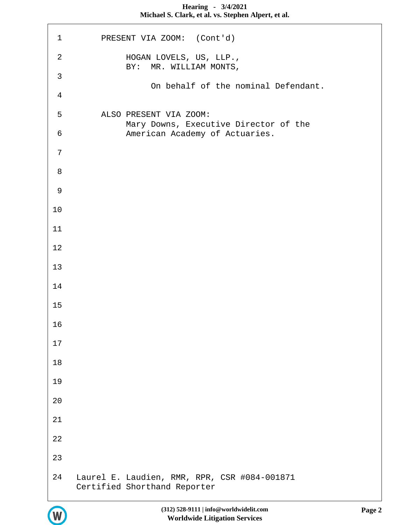| $\mathbf 1$    | PRESENT VIA ZOOM: (Cont'd)                                                   |
|----------------|------------------------------------------------------------------------------|
| $\overline{a}$ | HOGAN LOVELS, US, LLP.,<br>BY: MR. WILLIAM MONTS,                            |
| $\mathfrak{Z}$ | On behalf of the nominal Defendant.                                          |
| $\overline{4}$ |                                                                              |
| 5              | ALSO PRESENT VIA ZOOM:                                                       |
| 6              | Mary Downs, Executive Director of the<br>American Academy of Actuaries.      |
| 7              |                                                                              |
| 8              |                                                                              |
| 9              |                                                                              |
| 10             |                                                                              |
| 11             |                                                                              |
| 12             |                                                                              |
| 13             |                                                                              |
| 14             |                                                                              |
| 15             |                                                                              |
| 16             |                                                                              |
| 17             |                                                                              |
| 18             |                                                                              |
| 19             |                                                                              |
| 20             |                                                                              |
| 21             |                                                                              |
| 22             |                                                                              |
| 23             |                                                                              |
| 24             | Laurel E. Laudien, RMR, RPR, CSR #084-001871<br>Certified Shorthand Reporter |



r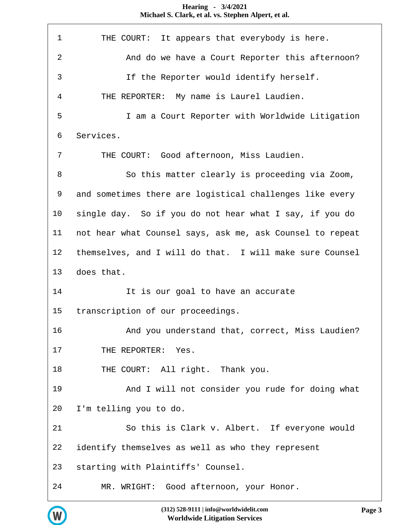## THE COURT: It appears that everybody is here. And do we have a Court Reporter this afternoon? If the Reporter would identify herself. THE REPORTER: My name is Laurel Laudien. I am a Court Reporter with Worldwide Litigation Services. THE COURT: Good afternoon, Miss Laudien. So this matter clearly is proceeding via Zoom, and sometimes there are logistical challenges like every single day. So if you do not hear what I say, if you do not hear what Counsel says, ask me, ask Counsel to repeat themselves, and I will do that. I will make sure Counsel does that. 14 It is our goal to have an accurate transcription of our proceedings. And you understand that, correct, Miss Laudien? 17 THE REPORTER: Yes. 18 THE COURT: All right. Thank you. And I will not consider you rude for doing what I'm telling you to do. So this is Clark v. Albert. If everyone would identify themselves as well as who they represent starting with Plaintiffs' Counsel. MR. WRIGHT: Good afternoon, your Honor.

# **Michael S. Clark, et al. vs. Stephen Alpert, et al.**

**Hearing - 3/4/2021**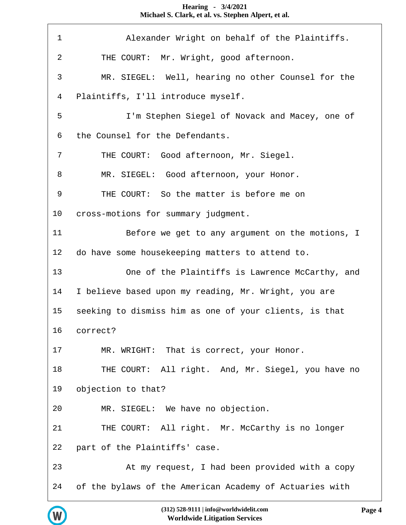Alexander Wright on behalf of the Plaintiffs. THE COURT: Mr. Wright, good afternoon. MR. SIEGEL: Well, hearing no other Counsel for the Plaintiffs, I'll introduce myself. I'm Stephen Siegel of Novack and Macey, one of the Counsel for the Defendants. THE COURT: Good afternoon, Mr. Siegel. 8 MR. SIEGEL: Good afternoon, your Honor. THE COURT: So the matter is before me on cross-motions for summary judgment. Before we get to any argument on the motions, I do have some housekeeping matters to attend to. One of the Plaintiffs is Lawrence McCarthy, and I believe based upon my reading, Mr. Wright, you are seeking to dismiss him as one of your clients, is that correct? MR. WRIGHT: That is correct, your Honor. 18 THE COURT: All right. And, Mr. Siegel, you have no objection to that? MR. SIEGEL: We have no objection. THE COURT: All right. Mr. McCarthy is no longer part of the Plaintiffs' case. At my request, I had been provided with a copy of the bylaws of the American Academy of Actuaries with

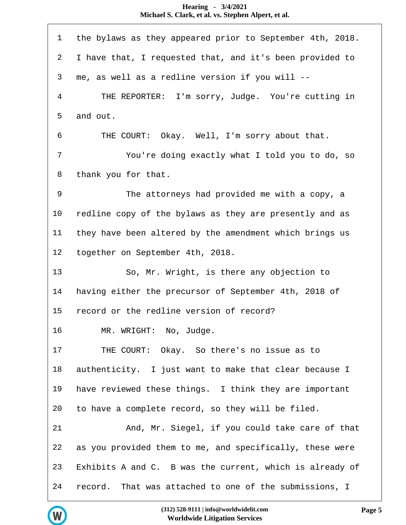| $\mathbf 1$ | the bylaws as they appeared prior to September 4th, 2018. |
|-------------|-----------------------------------------------------------|
| 2           | I have that, I requested that, and it's been provided to  |
| 3           | me, as well as a redline version if you will --           |
| 4           | THE REPORTER: I'm sorry, Judge. You're cutting in         |
| 5           | and out.                                                  |
| 6           | Okay. Well, I'm sorry about that.<br>THE COURT:           |
| 7           | You're doing exactly what I told you to do, so            |
| 8           | thank you for that.                                       |
| $\mathsf 9$ | The attorneys had provided me with a copy, a              |
| 10          | redline copy of the bylaws as they are presently and as   |
| 11          | they have been altered by the amendment which brings us   |
| 12          | together on September 4th, 2018.                          |
|             |                                                           |
| 13          | So, Mr. Wright, is there any objection to                 |
| 14          | having either the precursor of September 4th, 2018 of     |
| 15          | record or the redline version of record?                  |
| 16          | MR. WRIGHT: No, Judge.                                    |
| 17          | THE COURT: Okay. So there's no issue as to                |
| 18          | authenticity. I just want to make that clear because I    |
| 19          | have reviewed these things. I think they are important    |
| 20          | to have a complete record, so they will be filed.         |
| 21          | And, Mr. Siegel, if you could take care of that           |
| 22          | as you provided them to me, and specifically, these were  |
| 23          | Exhibits A and C. B was the current, which is already of  |

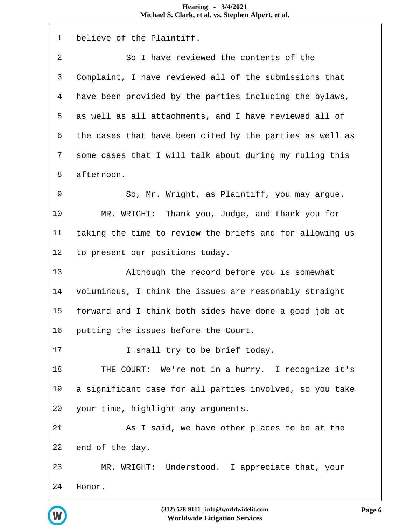| $\mathbf{1}$     | believe of the Plaintiff.                                |
|------------------|----------------------------------------------------------|
| $\boldsymbol{2}$ | So I have reviewed the contents of the                   |
| $\mathsf{3}$     | Complaint, I have reviewed all of the submissions that   |
| $\overline{4}$   | have been provided by the parties including the bylaws,  |
| 5                | as well as all attachments, and I have reviewed all of   |
| 6                | the cases that have been cited by the parties as well as |
| 7                | some cases that I will talk about during my ruling this  |
| 8                | afternoon.                                               |
| 9                | So, Mr. Wright, as Plaintiff, you may argue.             |
| 10               | MR. WRIGHT: Thank you, Judge, and thank you for          |
| 11               | taking the time to review the briefs and for allowing us |
| 12               | to present our positions today.                          |
| 13               | Although the record before you is somewhat               |
| 14               | voluminous, I think the issues are reasonably straight   |
| 15               | forward and I think both sides have done a good job at   |
| 16               | putting the issues before the Court.                     |
| 17               | I shall try to be brief today.                           |
| 18               | THE COURT: We're not in a hurry. I recognize it's        |
| 19               | a significant case for all parties involved, so you take |
| 20               | your time, highlight any arguments.                      |
| 21               | As I said, we have other places to be at the             |
| 22               | end of the day.                                          |
| 23               | MR. WRIGHT: Understood. I appreciate that, your          |
| 24               | Honor.                                                   |

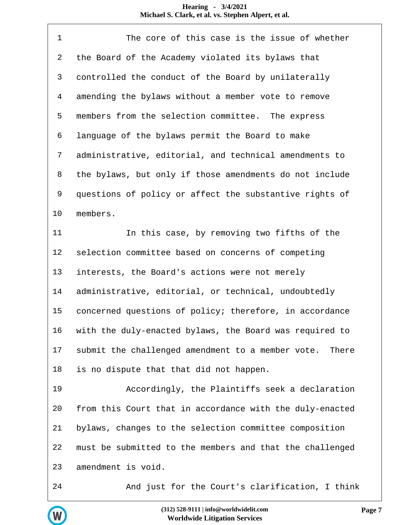| $\mathbf 1$ | The core of this case is the issue of whether              |
|-------------|------------------------------------------------------------|
| 2           | the Board of the Academy violated its bylaws that          |
| 3           | controlled the conduct of the Board by unilaterally        |
| 4           | amending the bylaws without a member vote to remove        |
| 5           | members from the selection committee. The express          |
| 6           | language of the bylaws permit the Board to make            |
| 7           | administrative, editorial, and technical amendments to     |
| 8           | the bylaws, but only if those amendments do not include    |
| 9           | questions of policy or affect the substantive rights of    |
| 10          | members.                                                   |
| 11          | In this case, by removing two fifths of the                |
| 12          | selection committee based on concerns of competing         |
| 13          | interests, the Board's actions were not merely             |
| 14          | administrative, editorial, or technical, undoubtedly       |
| 15          | concerned questions of policy; therefore, in accordance    |
| 16          | with the duly-enacted bylaws, the Board was required to    |
| 17          | submit the challenged amendment to a member vote.<br>There |
| 18          | is no dispute that that did not happen.                    |
| 19          | Accordingly, the Plaintiffs seek a declaration             |
| 20          | from this Court that in accordance with the duly-enacted   |
| 21          | bylaws, changes to the selection committee composition     |
| 22          | must be submitted to the members and that the challenged   |
| 23          | amendment is void.                                         |
| 24          | And just for the Court's clarification, I think            |

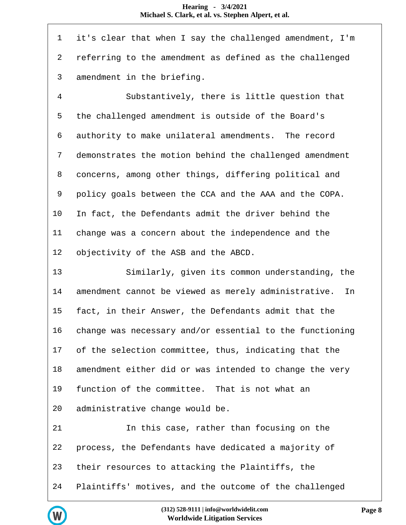| $\mathbf 1$ | it's clear that when I say the challenged amendment, I'm   |
|-------------|------------------------------------------------------------|
| 2           | referring to the amendment as defined as the challenged    |
| 3           | amendment in the briefing.                                 |
| 4           | Substantively, there is little question that               |
| 5           | the challenged amendment is outside of the Board's         |
| 6           | authority to make unilateral amendments. The record        |
| 7           | demonstrates the motion behind the challenged amendment    |
| 8           | concerns, among other things, differing political and      |
| 9           | policy goals between the CCA and the AAA and the COPA.     |
| 10          | In fact, the Defendants admit the driver behind the        |
| 11          | change was a concern about the independence and the        |
| 12          | objectivity of the ASB and the ABCD.                       |
| 13          | Similarly, given its common understanding, the             |
| 14          | amendment cannot be viewed as merely administrative.<br>In |
| 15          | fact, in their Answer, the Defendants admit that the       |
| 16          | change was necessary and/or essential to the functioning   |
| 17          | of the selection committee, thus, indicating that the      |
| 18          | amendment either did or was intended to change the very    |
| 19          | function of the committee. That is not what an             |
| 20          | administrative change would be.                            |
| 21          | In this case, rather than focusing on the                  |
| 22          | process, the Defendants have dedicated a majority of       |
| 23          | their resources to attacking the Plaintiffs, the           |
| 24          | Plaintiffs' motives, and the outcome of the challenged     |

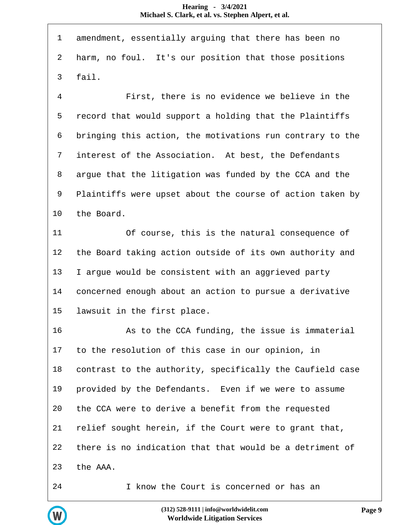| $\mathbf 1$ | amendment, essentially arguing that there has been no     |
|-------------|-----------------------------------------------------------|
| 2           | harm, no foul. It's our position that those positions     |
| 3           | fail.                                                     |
| 4           | First, there is no evidence we believe in the             |
| 5           | record that would support a holding that the Plaintiffs   |
| 6           | bringing this action, the motivations run contrary to the |
| 7           | interest of the Association. At best, the Defendants      |
| 8           | argue that the litigation was funded by the CCA and the   |
| 9           | Plaintiffs were upset about the course of action taken by |
| 10          | the Board.                                                |
| 11          | Of course, this is the natural consequence of             |
| 12          | the Board taking action outside of its own authority and  |
| 13          | I argue would be consistent with an aggrieved party       |
| 14          | concerned enough about an action to pursue a derivative   |
| 15          | lawsuit in the first place.                               |
| 16          | As to the CCA funding, the issue is immaterial            |
| 17          | to the resolution of this case in our opinion, in         |
| 18          | contrast to the authority, specifically the Caufield case |
| 19          | provided by the Defendants. Even if we were to assume     |
| 20          | the CCA were to derive a benefit from the requested       |
| 21          | relief sought herein, if the Court were to grant that,    |
| 22          | there is no indication that that would be a detriment of  |
| 23          | the AAA.                                                  |
| 24          | I know the Court is concerned or has an                   |

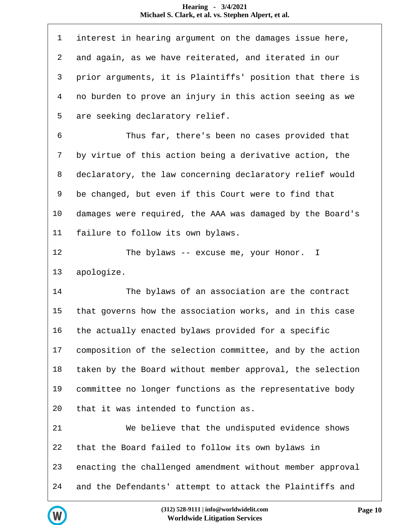| $\mathbf 1$    | interest in hearing argument on the damages issue here,   |
|----------------|-----------------------------------------------------------|
| $\overline{a}$ | and again, as we have reiterated, and iterated in our     |
| $\mathsf{3}$   | prior arguments, it is Plaintiffs' position that there is |
| 4              | no burden to prove an injury in this action seeing as we  |
| 5              | are seeking declaratory relief.                           |
| 6              | Thus far, there's been no cases provided that             |
| 7              | by virtue of this action being a derivative action, the   |
| 8              | declaratory, the law concerning declaratory relief would  |
| 9              | be changed, but even if this Court were to find that      |
| 10             | damages were required, the AAA was damaged by the Board's |
| 11             | failure to follow its own bylaws.                         |
| 12             | The bylaws -- excuse me, your Honor. I                    |
|                |                                                           |
| 13             | apologize.                                                |
| 14             | The bylaws of an association are the contract             |
| 15             | that governs how the association works, and in this case  |
| 16             | the actually enacted bylaws provided for a specific       |
| 17             | composition of the selection committee, and by the action |
| 18             | taken by the Board without member approval, the selection |
| 19             | committee no longer functions as the representative body  |
| 20             | that it was intended to function as.                      |
| 21             | We believe that the undisputed evidence shows             |
| 22             | that the Board failed to follow its own bylaws in         |
| 23             | enacting the challenged amendment without member approval |

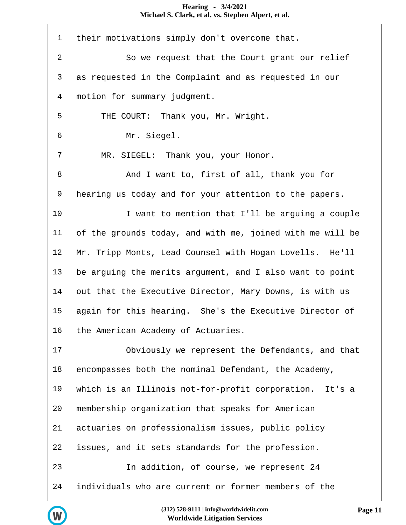| $\mathbf 1$    | their motivations simply don't overcome that.             |
|----------------|-----------------------------------------------------------|
| $\overline{2}$ | So we request that the Court grant our relief             |
| $\mathsf{3}$   | as requested in the Complaint and as requested in our     |
| 4              | motion for summary judgment.                              |
| 5              | THE COURT: Thank you, Mr. Wright.                         |
| 6              | Mr. Siegel.                                               |
| 7              | MR. SIEGEL: Thank you, your Honor.                        |
| 8              | And I want to, first of all, thank you for                |
| 9              | hearing us today and for your attention to the papers.    |
| 10             | I want to mention that I'll be arguing a couple           |
| 11             | of the grounds today, and with me, joined with me will be |
| 12             | Mr. Tripp Monts, Lead Counsel with Hogan Lovells. He'll   |
| 13             | be arguing the merits argument, and I also want to point  |
| 14             | out that the Executive Director, Mary Downs, is with us   |
| 15             | again for this hearing. She's the Executive Director of   |
| 16             | the American Academy of Actuaries.                        |
| 17             | Obviously we represent the Defendants, and that           |
| 18             | encompasses both the nominal Defendant, the Academy,      |
| 19             | which is an Illinois not-for-profit corporation. It's a   |
| 20             | membership organization that speaks for American          |
| 21             | actuaries on professionalism issues, public policy        |
| 22             | issues, and it sets standards for the profession.         |
| 23             | In addition, of course, we represent 24                   |
| 24             | individuals who are current or former members of the      |

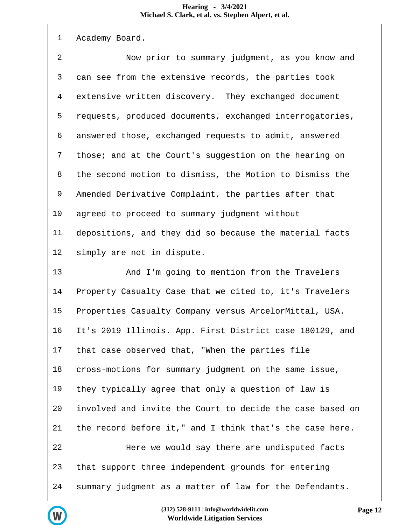| $\mathbf 1$      | Academy Board.                                            |
|------------------|-----------------------------------------------------------|
| $\boldsymbol{2}$ | Now prior to summary judgment, as you know and            |
| 3                | can see from the extensive records, the parties took      |
| 4                | extensive written discovery. They exchanged document      |
| 5                | requests, produced documents, exchanged interrogatories,  |
| 6                | answered those, exchanged requests to admit, answered     |
| 7                | those; and at the Court's suggestion on the hearing on    |
| 8                | the second motion to dismiss, the Motion to Dismiss the   |
| 9                | Amended Derivative Complaint, the parties after that      |
| 10               | agreed to proceed to summary judgment without             |
| 11               | depositions, and they did so because the material facts   |
| 12               | simply are not in dispute.                                |
| 13               | And I'm going to mention from the Travelers               |
| 14               | Property Casualty Case that we cited to, it's Travelers   |
| 15               | Properties Casualty Company versus ArcelorMittal, USA.    |
| 16               | It's 2019 Illinois. App. First District case 180129, and  |
| 17               | that case observed that, "When the parties file           |
| 18               | cross-motions for summary judgment on the same issue,     |
| 19               | they typically agree that only a question of law is       |
| 20               | involved and invite the Court to decide the case based on |
| 21               | the record before it," and I think that's the case here.  |
| 22               | Here we would say there are undisputed facts              |
| 23               | that support three independent grounds for entering       |
| 24               | summary judgment as a matter of law for the Defendants.   |

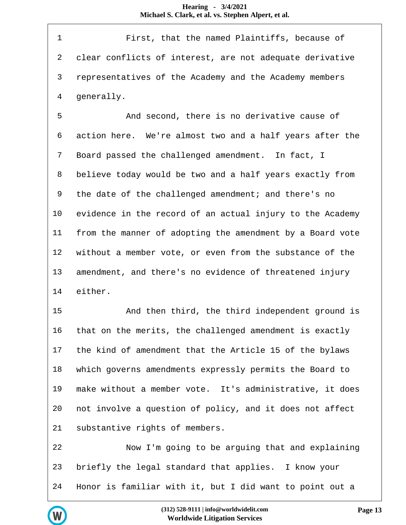First, that the named Plaintiffs, because of clear conflicts of interest, are not adequate derivative representatives of the Academy and the Academy members generally.

 And second, there is no derivative cause of action here. We're almost two and a half years after the Board passed the challenged amendment. In fact, I believe today would be two and a half years exactly from the date of the challenged amendment; and there's no evidence in the record of an actual injury to the Academy from the manner of adopting the amendment by a Board vote without a member vote, or even from the substance of the amendment, and there's no evidence of threatened injury either.

 And then third, the third independent ground is that on the merits, the challenged amendment is exactly the kind of amendment that the Article 15 of the bylaws which governs amendments expressly permits the Board to make without a member vote. It's administrative, it does not involve a question of policy, and it does not affect substantive rights of members.

 Now I'm going to be arguing that and explaining briefly the legal standard that applies. I know your Honor is familiar with it, but I did want to point out a

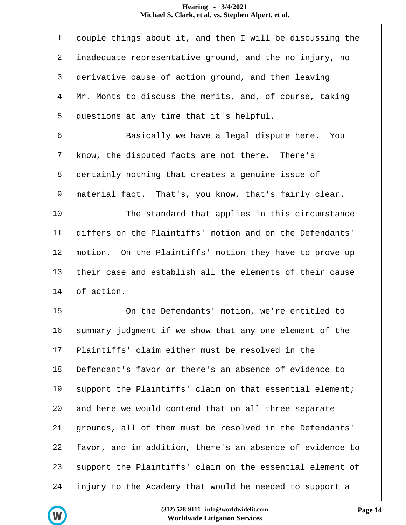| $\mathbf 1$    | couple things about it, and then I will be discussing the |
|----------------|-----------------------------------------------------------|
| $\overline{a}$ | inadequate representative ground, and the no injury, no   |
| 3              | derivative cause of action ground, and then leaving       |
| $\overline{4}$ | Mr. Monts to discuss the merits, and, of course, taking   |
| 5              | questions at any time that it's helpful.                  |
| 6              | Basically we have a legal dispute here. You               |
| 7              | know, the disputed facts are not there. There's           |
| 8              | certainly nothing that creates a genuine issue of         |
| 9              | material fact. That's, you know, that's fairly clear.     |
| 10             | The standard that applies in this circumstance            |
| 11             | differs on the Plaintiffs' motion and on the Defendants'  |
| 12             | motion. On the Plaintiffs' motion they have to prove up   |
| 13             | their case and establish all the elements of their cause  |
| 14             | of action.                                                |
| 15             | On the Defendants' motion, we're entitled to              |
| 16             | summary judgment if we show that any one element of the   |
| 17             | Plaintiffs' claim either must be resolved in the          |
| 18             | Defendant's favor or there's an absence of evidence to    |
| 19             | support the Plaintiffs' claim on that essential element;  |
| 20             | and here we would contend that on all three separate      |
| 21             | grounds, all of them must be resolved in the Defendants'  |
| 22             | favor, and in addition, there's an absence of evidence to |
| 23             | support the Plaintiffs' claim on the essential element of |
| 24             | injury to the Academy that would be needed to support a   |

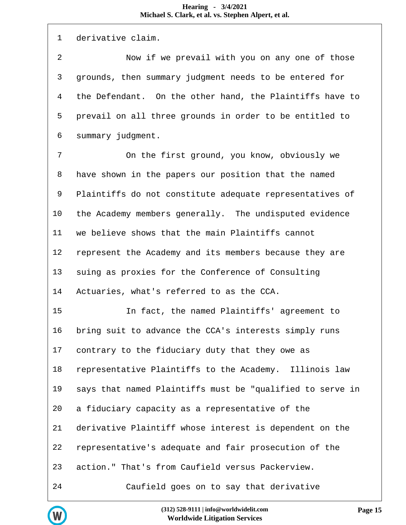| 1              | derivative claim.                                         |
|----------------|-----------------------------------------------------------|
| $\overline{2}$ | Now if we prevail with you on any one of those            |
| 3              | grounds, then summary judgment needs to be entered for    |
| 4              | the Defendant. On the other hand, the Plaintiffs have to  |
| 5              | prevail on all three grounds in order to be entitled to   |
| 6              | summary judgment.                                         |
| 7              | On the first ground, you know, obviously we               |
| 8              | have shown in the papers our position that the named      |
| 9              | Plaintiffs do not constitute adequate representatives of  |
| 10             | the Academy members generally. The undisputed evidence    |
| 11             | we believe shows that the main Plaintiffs cannot          |
| 12             | represent the Academy and its members because they are    |
| 13             | suing as proxies for the Conference of Consulting         |
| 14             | Actuaries, what's referred to as the CCA.                 |
| 15             | In fact, the named Plaintiffs' agreement to               |
| 16             | bring suit to advance the CCA's interests simply runs     |
| 17             | contrary to the fiduciary duty that they owe as           |
| 18             | representative Plaintiffs to the Academy. Illinois law    |
| 19             | says that named Plaintiffs must be "qualified to serve in |
| 20             | a fiduciary capacity as a representative of the           |
| 21             | derivative Plaintiff whose interest is dependent on the   |
| 22             | representative's adequate and fair prosecution of the     |
| 23             | action." That's from Caufield versus Packerview.          |
| 24             | Caufield goes on to say that derivative                   |

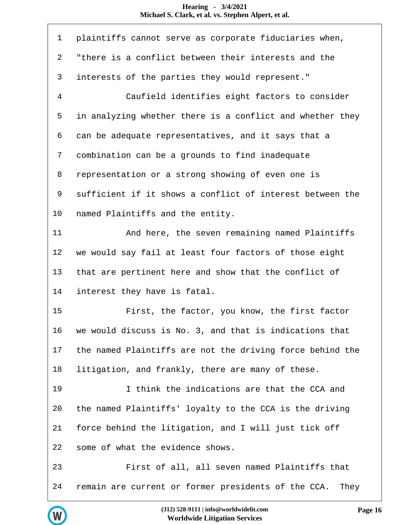| $\mathbf 1$    | plaintiffs cannot serve as corporate fiduciaries when,    |
|----------------|-----------------------------------------------------------|
| 2              | "there is a conflict between their interests and the      |
| 3              | interests of the parties they would represent."           |
| $\overline{4}$ | Caufield identifies eight factors to consider             |
| 5              | in analyzing whether there is a conflict and whether they |
| 6              | can be adequate representatives, and it says that a       |
| 7              | combination can be a grounds to find inadequate           |
| 8              | representation or a strong showing of even one is         |
| 9              | sufficient if it shows a conflict of interest between the |
| 10             | named Plaintiffs and the entity.                          |
| 11             | And here, the seven remaining named Plaintiffs            |
| 12             | we would say fail at least four factors of those eight    |
| 13             | that are pertinent here and show that the conflict of     |
| 14             | interest they have is fatal.                              |
| 15             | First, the factor, you know, the first factor             |
| 16             | we would discuss is No. 3, and that is indications that   |
| 17             | the named Plaintiffs are not the driving force behind the |
| 18             | litigation, and frankly, there are many of these.         |
| 19             | I think the indications are that the CCA and              |
| 20             | the named Plaintiffs' loyalty to the CCA is the driving   |
| 21             | force behind the litigation, and I will just tick off     |
| 22             | some of what the evidence shows.                          |
| 23             | First of all, all seven named Plaintiffs that             |
| 24             | remain are current or former presidents of the CCA. They  |

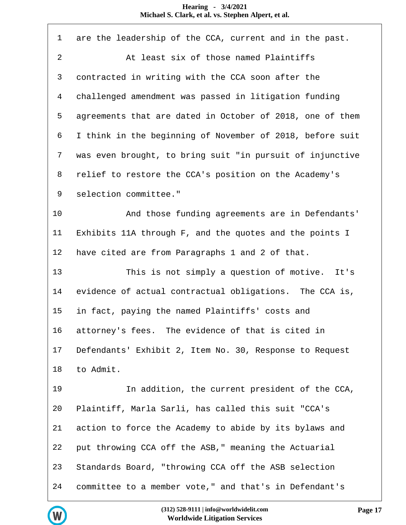| $\mathbf 1$    | are the leadership of the CCA, current and in the past.   |
|----------------|-----------------------------------------------------------|
| $\overline{a}$ | At least six of those named Plaintiffs                    |
| 3              | contracted in writing with the CCA soon after the         |
| 4              | challenged amendment was passed in litigation funding     |
| 5              | agreements that are dated in October of 2018, one of them |
| 6              | I think in the beginning of November of 2018, before suit |
| 7              | was even brought, to bring suit "in pursuit of injunctive |
| 8              | relief to restore the CCA's position on the Academy's     |
| 9              | selection committee."                                     |
| 10             | And those funding agreements are in Defendants'           |
| 11             | Exhibits 11A through F, and the quotes and the points I   |
| 12             | have cited are from Paragraphs 1 and 2 of that.           |
| 13             | This is not simply a question of motive. It's             |
| 14             | evidence of actual contractual obligations. The CCA is,   |
| 15             | in fact, paying the named Plaintiffs' costs and           |
| 16             | attorney's fees. The evidence of that is cited in         |
| 17             | Defendants' Exhibit 2, Item No. 30, Response to Request   |
| 18             | to Admit.                                                 |
| 19             | In addition, the current president of the CCA,            |
| 20             | Plaintiff, Marla Sarli, has called this suit "CCA's       |
| 21             | action to force the Academy to abide by its bylaws and    |
| 22             | put throwing CCA off the ASB," meaning the Actuarial      |
| 23             | Standards Board, "throwing CCA off the ASB selection      |
| 24             | committee to a member vote," and that's in Defendant's    |

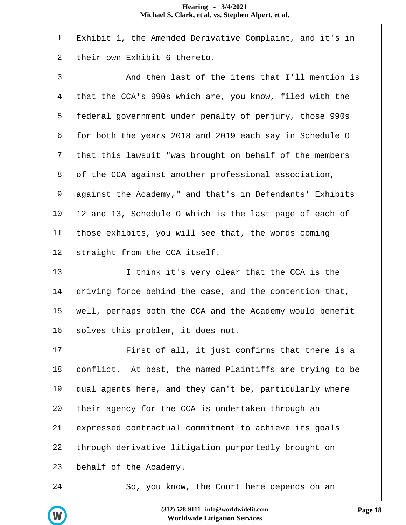| $\mathbf 1$    | Exhibit 1, the Amended Derivative Complaint, and it's in |
|----------------|----------------------------------------------------------|
| $\overline{2}$ | their own Exhibit 6 thereto.                             |
| $\mathsf{3}$   | And then last of the items that I'll mention is          |
| $\overline{4}$ | that the CCA's 990s which are, you know, filed with the  |
| 5              | federal government under penalty of perjury, those 990s  |
| 6              | for both the years 2018 and 2019 each say in Schedule O  |
| 7              | that this lawsuit "was brought on behalf of the members  |
| 8              | of the CCA against another professional association,     |
| 9              | against the Academy," and that's in Defendants' Exhibits |
| 10             | 12 and 13, Schedule O which is the last page of each of  |
| 11             | those exhibits, you will see that, the words coming      |
| 12             | straight from the CCA itself.                            |
| 13             | I think it's very clear that the CCA is the              |
| 14             | driving force behind the case, and the contention that,  |
| 15             | well, perhaps both the CCA and the Academy would benefit |
| 16             | solves this problem, it does not.                        |
| 17             | First of all, it just confirms that there is a           |
| 18             | conflict. At best, the named Plaintiffs are trying to be |
| 19             | dual agents here, and they can't be, particularly where  |
| 20             | their agency for the CCA is undertaken through an        |
| 21             | expressed contractual commitment to achieve its goals    |
| 22             | through derivative litigation purportedly brought on     |
| 23             | behalf of the Academy.                                   |
| 24             | So, you know, the Court here depends on an               |

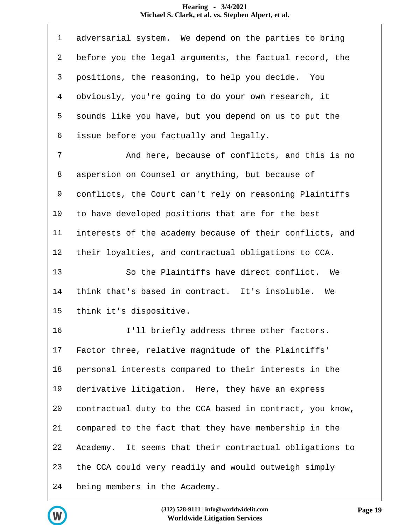| 1              | adversarial system. We depend on the parties to bring    |
|----------------|----------------------------------------------------------|
| 2              | before you the legal arguments, the factual record, the  |
| 3              | positions, the reasoning, to help you decide. You        |
| $\overline{4}$ | obviously, you're going to do your own research, it      |
| 5              | sounds like you have, but you depend on us to put the    |
| 6              | issue before you factually and legally.                  |
| 7              | And here, because of conflicts, and this is no           |
| 8              | aspersion on Counsel or anything, but because of         |
| 9              | conflicts, the Court can't rely on reasoning Plaintiffs  |
| 10             | to have developed positions that are for the best        |
| 11             | interests of the academy because of their conflicts, and |
| 12             | their loyalties, and contractual obligations to CCA.     |
| 13             | So the Plaintiffs have direct conflict. We               |
| 14             | think that's based in contract. It's insoluble. We       |
| 15             | think it's dispositive.                                  |
| 16             | I'll briefly address three other factors.                |
| 17             | Factor three, relative magnitude of the Plaintiffs'      |
| 18             | personal interests compared to their interests in the    |
| 19             | derivative litigation. Here, they have an express        |
| 20             | contractual duty to the CCA based in contract, you know, |
| 21             | compared to the fact that they have membership in the    |
| 22             | Academy. It seems that their contractual obligations to  |
| 23             | the CCA could very readily and would outweigh simply     |
| 24             | being members in the Academy.                            |

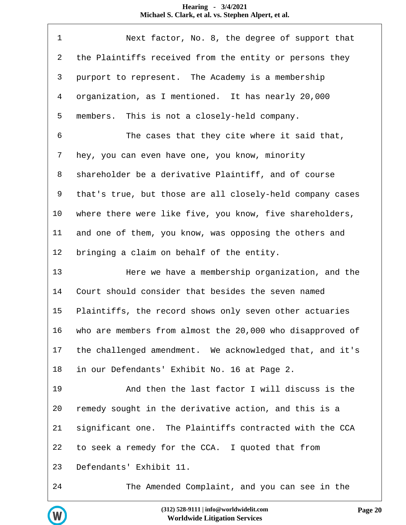| $\mathbf 1$    | Next factor, No. 8, the degree of support that            |
|----------------|-----------------------------------------------------------|
| 2              | the Plaintiffs received from the entity or persons they   |
| $\mathsf{3}$   | purport to represent. The Academy is a membership         |
| $\overline{4}$ | organization, as I mentioned. It has nearly 20,000        |
| 5              | members. This is not a closely-held company.              |
| 6              | The cases that they cite where it said that,              |
| 7              | hey, you can even have one, you know, minority            |
| 8              | shareholder be a derivative Plaintiff, and of course      |
| 9              | that's true, but those are all closely-held company cases |
| 10             | where there were like five, you know, five shareholders,  |
| 11             | and one of them, you know, was opposing the others and    |
| 12             | bringing a claim on behalf of the entity.                 |
| 13             | Here we have a membership organization, and the           |
| 14             | Court should consider that besides the seven named        |
| 15             | Plaintiffs, the record shows only seven other actuaries   |
| 16             |                                                           |
|                | who are members from almost the 20,000 who disapproved of |
| 17             | the challenged amendment. We acknowledged that, and it's  |
| 18             | in our Defendants' Exhibit No. 16 at Page 2.              |
| 19             | And then the last factor I will discuss is the            |
| 20             | remedy sought in the derivative action, and this is a     |
| 21             | significant one. The Plaintiffs contracted with the CCA   |
| 22             | to seek a remedy for the CCA. I quoted that from          |
| 23             | Defendants' Exhibit 11.                                   |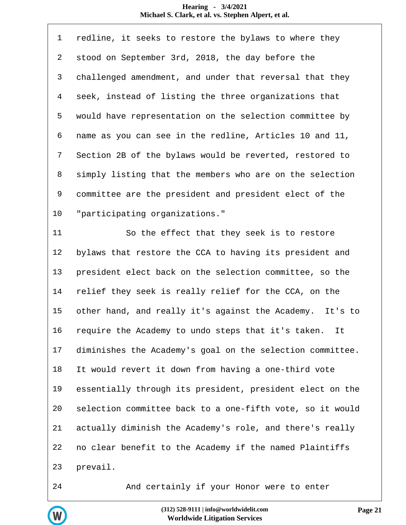| $\mathbf{1}$   | redline, it seeks to restore the bylaws to where they     |
|----------------|-----------------------------------------------------------|
| $\overline{2}$ | stood on September 3rd, 2018, the day before the          |
| 3              | challenged amendment, and under that reversal that they   |
| 4              | seek, instead of listing the three organizations that     |
| 5              | would have representation on the selection committee by   |
| 6              | name as you can see in the redline, Articles 10 and 11,   |
| 7              | Section 2B of the bylaws would be reverted, restored to   |
| 8              | simply listing that the members who are on the selection  |
| 9              | committee are the president and president elect of the    |
| 10             | "participating organizations."                            |
| 11             | So the effect that they seek is to restore                |
| 12             | bylaws that restore the CCA to having its president and   |
| 13             | president elect back on the selection committee, so the   |
| 14             | relief they seek is really relief for the CCA, on the     |
| 15             | other hand, and really it's against the Academy. It's to  |
| 16             | require the Academy to undo steps that it's taken.<br>It  |
| 17             | diminishes the Academy's goal on the selection committee. |
| 18             | It would revert it down from having a one-third vote      |
| 19             | essentially through its president, president elect on the |
| 20             | selection committee back to a one-fifth vote, so it would |
| 21             | actually diminish the Academy's role, and there's really  |
| 22             | no clear benefit to the Academy if the named Plaintiffs   |
| 23             | prevail.                                                  |
|                |                                                           |

W

And certainly if your Honor were to enter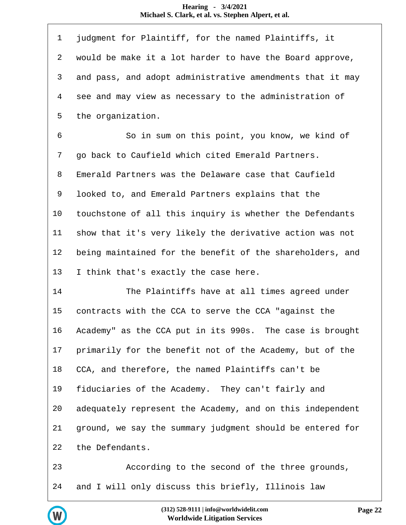| $\mathbf 1$ | judgment for Plaintiff, for the named Plaintiffs, it      |
|-------------|-----------------------------------------------------------|
| 2           | would be make it a lot harder to have the Board approve,  |
| 3           | and pass, and adopt administrative amendments that it may |
| 4           | see and may view as necessary to the administration of    |
| 5           | the organization.                                         |
| 6           | So in sum on this point, you know, we kind of             |
| 7           | go back to Caufield which cited Emerald Partners.         |
| 8           | Emerald Partners was the Delaware case that Caufield      |
| 9           | looked to, and Emerald Partners explains that the         |
| 10          | touchstone of all this inquiry is whether the Defendants  |
| 11          | show that it's very likely the derivative action was not  |
| 12          | being maintained for the benefit of the shareholders, and |
| 13          | I think that's exactly the case here.                     |
| 14          | The Plaintiffs have at all times agreed under             |
| 15          | contracts with the CCA to serve the CCA "against the      |
| 16          | Academy" as the CCA put in its 990s. The case is brought  |
| 17          | primarily for the benefit not of the Academy, but of the  |
| 18          | CCA, and therefore, the named Plaintiffs can't be         |
| 19          | fiduciaries of the Academy. They can't fairly and         |
| 20          | adequately represent the Academy, and on this independent |
| 21          | ground, we say the summary judgment should be entered for |
| 22          | the Defendants.                                           |
| 23          | According to the second of the three grounds,             |



and I will only discuss this briefly, Illinois law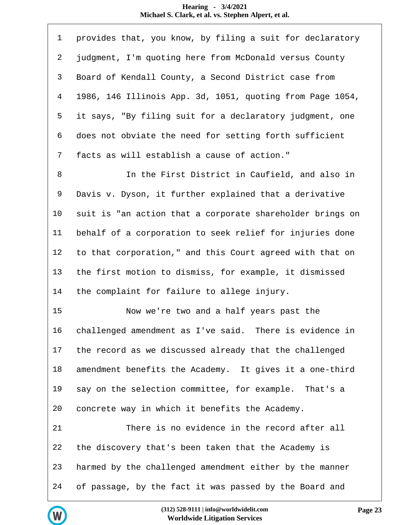| $\mathbf 1$    | provides that, you know, by filing a suit for declaratory |
|----------------|-----------------------------------------------------------|
| $\overline{a}$ | judgment, I'm quoting here from McDonald versus County    |
| 3              | Board of Kendall County, a Second District case from      |
| $\overline{4}$ | 1986, 146 Illinois App. 3d, 1051, quoting from Page 1054, |
| 5              | it says, "By filing suit for a declaratory judgment, one  |
| 6              | does not obviate the need for setting forth sufficient    |
| 7              | facts as will establish a cause of action."               |
| $\,8\,$        | In the First District in Caufield, and also in            |
| 9              | Davis v. Dyson, it further explained that a derivative    |
| 10             | suit is "an action that a corporate shareholder brings on |
| 11             | behalf of a corporation to seek relief for injuries done  |
| 12             | to that corporation," and this Court agreed with that on  |
| 13             | the first motion to dismiss, for example, it dismissed    |
| 14             | the complaint for failure to allege injury.               |
| 15             | Now we're two and a half years past the                   |
| 16             | challenged amendment as I've said. There is evidence in   |
| 17             | the record as we discussed already that the challenged    |
| 18             | amendment benefits the Academy. It gives it a one-third   |
| 19             | say on the selection committee, for example. That's a     |
| 20             | concrete way in which it benefits the Academy.            |
| 21             | There is no evidence in the record after all              |
| 22             | the discovery that's been taken that the Academy is       |
| 23             | harmed by the challenged amendment either by the manner   |
| 24             | of passage, by the fact it was passed by the Board and    |

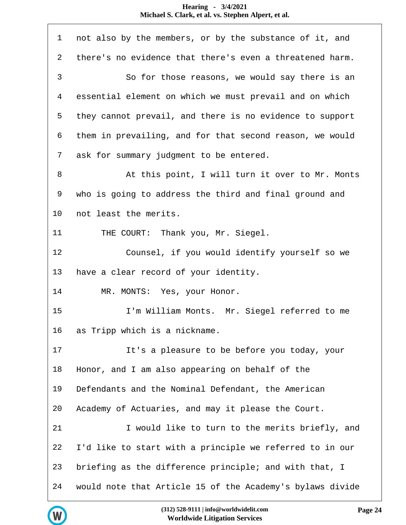| $\mathbf 1$    | not also by the members, or by the substance of it, and   |
|----------------|-----------------------------------------------------------|
| $\overline{a}$ | there's no evidence that there's even a threatened harm.  |
| $\mathfrak{Z}$ | So for those reasons, we would say there is an            |
| 4              | essential element on which we must prevail and on which   |
| 5              | they cannot prevail, and there is no evidence to support  |
| 6              | them in prevailing, and for that second reason, we would  |
| 7              | ask for summary judgment to be entered.                   |
| 8              | At this point, I will turn it over to Mr. Monts           |
| 9              | who is going to address the third and final ground and    |
| 10             | not least the merits.                                     |
| 11             | THE COURT: Thank you, Mr. Siegel.                         |
| 12             | Counsel, if you would identify yourself so we             |
| 13             | have a clear record of your identity.                     |
| 14             | MR. MONTS: Yes, your Honor.                               |
| 15             | I'm William Monts. Mr. Siegel referred to me              |
| 16             | as Tripp which is a nickname.                             |
| 17             | It's a pleasure to be before you today, your              |
| 18             | Honor, and I am also appearing on behalf of the           |
| 19             | Defendants and the Nominal Defendant, the American        |
| 20             | Academy of Actuaries, and may it please the Court.        |
| 21             | I would like to turn to the merits briefly, and           |
| 22             | I'd like to start with a principle we referred to in our  |
| 23             | briefing as the difference principle; and with that, I    |
| 24             | would note that Article 15 of the Academy's bylaws divide |

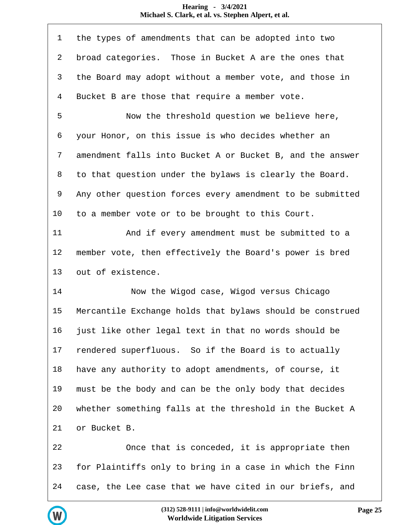| $\mathbf 1$  | the types of amendments that can be adopted into two      |
|--------------|-----------------------------------------------------------|
| 2            | broad categories. Those in Bucket A are the ones that     |
| $\mathsf{3}$ | the Board may adopt without a member vote, and those in   |
| 4            | Bucket B are those that require a member vote.            |
| 5            | Now the threshold question we believe here,               |
| 6            | your Honor, on this issue is who decides whether an       |
| 7            | amendment falls into Bucket A or Bucket B, and the answer |
| 8            | to that question under the bylaws is clearly the Board.   |
| 9            | Any other question forces every amendment to be submitted |
| 10           | to a member vote or to be brought to this Court.          |
| 11           | And if every amendment must be submitted to a             |
| 12           | member vote, then effectively the Board's power is bred   |
|              |                                                           |
| 13           | out of existence.                                         |
| 14           | Now the Wigod case, Wigod versus Chicago                  |
| 15           | Mercantile Exchange holds that bylaws should be construed |
| 16           | just like other legal text in that no words should be     |
| 17           | rendered superfluous. So if the Board is to actually      |
| 18           | have any authority to adopt amendments, of course, it     |
| 19           | must be the body and can be the only body that decides    |
| 20           | whether something falls at the threshold in the Bucket A  |
| 21           | or Bucket B.                                              |
| 22           | Once that is conceded, it is appropriate then             |
| 23           | for Plaintiffs only to bring in a case in which the Finn  |

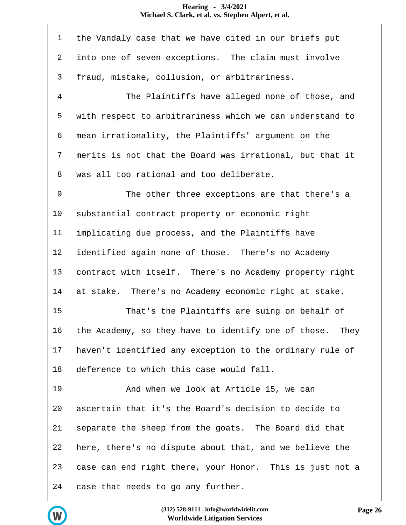| $\mathbf 1$    | the Vandaly case that we have cited in our briefs put    |
|----------------|----------------------------------------------------------|
| 2              | into one of seven exceptions. The claim must involve     |
| 3              | fraud, mistake, collusion, or arbitrariness.             |
| $\overline{4}$ | The Plaintiffs have alleged none of those, and           |
| 5              | with respect to arbitrariness which we can understand to |
| 6              | mean irrationality, the Plaintiffs' argument on the      |
| 7              | merits is not that the Board was irrational, but that it |
| 8              | was all too rational and too deliberate.                 |
| 9              | The other three exceptions are that there's a            |
| 10             | substantial contract property or economic right          |
| 11             | implicating due process, and the Plaintiffs have         |
| 12             | identified again none of those. There's no Academy       |
| 13             | contract with itself. There's no Academy property right  |
| 14             | at stake. There's no Academy economic right at stake.    |
| 15             | That's the Plaintiffs are suing on behalf of             |
| 16             | the Academy, so they have to identify one of those. They |
| 17             | haven't identified any exception to the ordinary rule of |
| 18             | deference to which this case would fall.                 |
| 19             | And when we look at Article 15, we can                   |
| 20             | ascertain that it's the Board's decision to decide to    |
| 21             | separate the sheep from the goats. The Board did that    |
| 22             | here, there's no dispute about that, and we believe the  |
| 23             | case can end right there, your Honor. This is just not a |
| 24             | case that needs to go any further.                       |

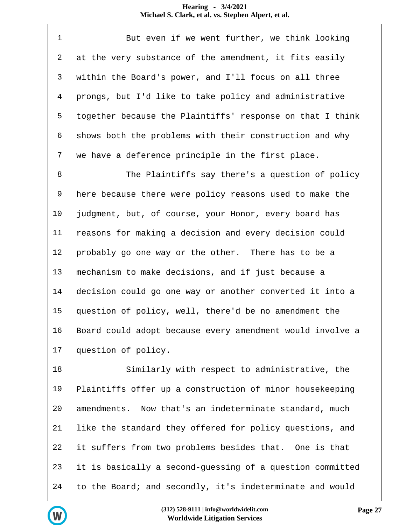| $\mathbf 1$     | But even if we went further, we think looking             |
|-----------------|-----------------------------------------------------------|
| 2               | at the very substance of the amendment, it fits easily    |
| 3               | within the Board's power, and I'll focus on all three     |
| 4               | prongs, but I'd like to take policy and administrative    |
| 5               | together because the Plaintiffs' response on that I think |
| 6               | shows both the problems with their construction and why   |
| 7               | we have a deference principle in the first place.         |
| 8               | The Plaintiffs say there's a question of policy           |
| 9               | here because there were policy reasons used to make the   |
| 10 <sub>o</sub> | judgment, but, of course, your Honor, every board has     |
| 11              | reasons for making a decision and every decision could    |
| 12              | probably go one way or the other. There has to be a       |
| 13              | mechanism to make decisions, and if just because a        |
| 14              | decision could go one way or another converted it into a  |

 question of policy, well, there'd be no amendment the Board could adopt because every amendment would involve a question of policy.

 Similarly with respect to administrative, the Plaintiffs offer up a construction of minor housekeeping amendments. Now that's an indeterminate standard, much like the standard they offered for policy questions, and it suffers from two problems besides that. One is that it is basically a second-guessing of a question committed to the Board; and secondly, it's indeterminate and would

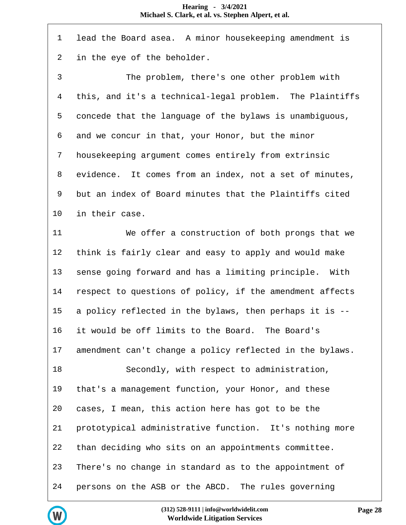| $\mathbf 1$    | lead the Board asea. A minor housekeeping amendment is    |
|----------------|-----------------------------------------------------------|
| 2              | in the eye of the beholder.                               |
| $\mathfrak{Z}$ | The problem, there's one other problem with               |
| $\overline{4}$ | this, and it's a technical-legal problem. The Plaintiffs  |
| 5              | concede that the language of the bylaws is unambiguous,   |
| 6              | and we concur in that, your Honor, but the minor          |
| 7              | housekeeping argument comes entirely from extrinsic       |
| 8              | evidence. It comes from an index, not a set of minutes,   |
| 9              | but an index of Board minutes that the Plaintiffs cited   |
| 10             | in their case.                                            |
| 11             | We offer a construction of both prongs that we            |
| 12             | think is fairly clear and easy to apply and would make    |
| 13             | sense going forward and has a limiting principle.<br>With |
| 14             | respect to questions of policy, if the amendment affects  |
| 15             | a policy reflected in the bylaws, then perhaps it is --   |
| 16             | it would be off limits to the Board. The Board's          |
| 17             | amendment can't change a policy reflected in the bylaws.  |
| 18             | Secondly, with respect to administration,                 |
| 19             | that's a management function, your Honor, and these       |
| 20             | cases, I mean, this action here has got to be the         |
| 21             | prototypical administrative function. It's nothing more   |
| 22             | than deciding who sits on an appointments committee.      |
| 23             | There's no change in standard as to the appointment of    |
| 24             | persons on the ASB or the ABCD. The rules governing       |

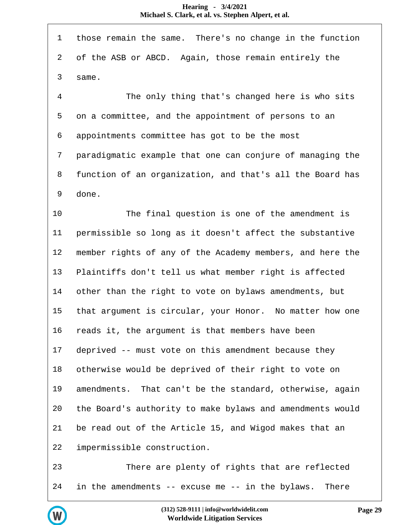| $\mathbf{1}$   | those remain the same. There's no change in the function  |
|----------------|-----------------------------------------------------------|
| 2              | of the ASB or ABCD. Again, those remain entirely the      |
| 3              | same.                                                     |
| $\overline{4}$ | The only thing that's changed here is who sits            |
| 5              | on a committee, and the appointment of persons to an      |
| 6              | appointments committee has got to be the most             |
| 7              | paradigmatic example that one can conjure of managing the |
| 8              | function of an organization, and that's all the Board has |
| 9              | done.                                                     |
| 10             | The final question is one of the amendment is             |
| 11             | permissible so long as it doesn't affect the substantive  |
| 12             | member rights of any of the Academy members, and here the |
| 13             | Plaintiffs don't tell us what member right is affected    |
| 14             | other than the right to vote on bylaws amendments, but    |
| 15             | that argument is circular, your Honor. No matter how one  |
| 16             | reads it, the argument is that members have been          |
| 17             | deprived -- must vote on this amendment because they      |
| 18             | otherwise would be deprived of their right to vote on     |
| 19             | amendments. That can't be the standard, otherwise, again  |
| 20             | the Board's authority to make bylaws and amendments would |
| 21             | be read out of the Article 15, and Wigod makes that an    |
| 22             | impermissible construction.                               |
| 23             | There are plenty of rights that are reflected             |
| 24             | in the amendments -- excuse me -- in the bylaws.<br>There |

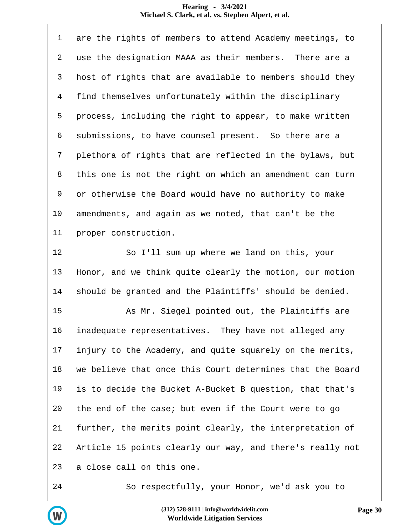| $\mathbf 1$    | are the rights of members to attend Academy meetings, to  |
|----------------|-----------------------------------------------------------|
| 2              | use the designation MAAA as their members. There are a    |
| 3              | host of rights that are available to members should they  |
| $\overline{4}$ | find themselves unfortunately within the disciplinary     |
| 5              | process, including the right to appear, to make written   |
| 6              | submissions, to have counsel present. So there are a      |
| 7              | plethora of rights that are reflected in the bylaws, but  |
| 8              | this one is not the right on which an amendment can turn  |
| 9              | or otherwise the Board would have no authority to make    |
| 10             | amendments, and again as we noted, that can't be the      |
| 11             | proper construction.                                      |
| 12             | So I'll sum up where we land on this, your                |
| 13             | Honor, and we think quite clearly the motion, our motion  |
| 14             | should be granted and the Plaintiffs' should be denied.   |
| 15             | As Mr. Siegel pointed out, the Plaintiffs are             |
| 16             | inadequate representatives. They have not alleged any     |
| 17             | injury to the Academy, and quite squarely on the merits,  |
| 18             | we believe that once this Court determines that the Board |
| 19             | is to decide the Bucket A-Bucket B question, that that's  |
| 20             | the end of the case; but even if the Court were to go     |
| 21             | further, the merits point clearly, the interpretation of  |
| 22             | Article 15 points clearly our way, and there's really not |
| 23             | a close call on this one.                                 |
| 24             | So respectfully, your Honor, we'd ask you to              |



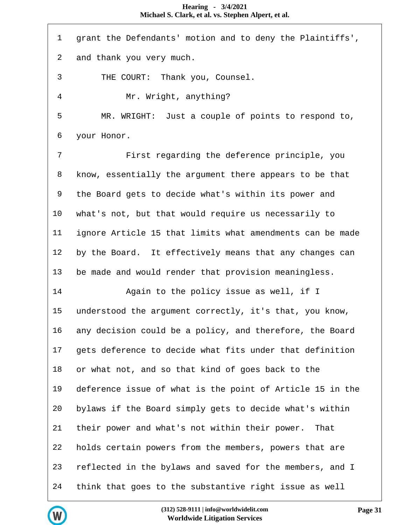grant the Defendants' motion and to deny the Plaintiffs', and thank you very much. THE COURT: Thank you, Counsel. Mr. Wright, anything? MR. WRIGHT: Just a couple of points to respond to, your Honor. First regarding the deference principle, you know, essentially the argument there appears to be that the Board gets to decide what's within its power and what's not, but that would require us necessarily to ignore Article 15 that limits what amendments can be made by the Board. It effectively means that any changes can be made and would render that provision meaningless. Again to the policy issue as well, if I understood the argument correctly, it's that, you know, any decision could be a policy, and therefore, the Board gets deference to decide what fits under that definition or what not, and so that kind of goes back to the deference issue of what is the point of Article 15 in the bylaws if the Board simply gets to decide what's within their power and what's not within their power. That holds certain powers from the members, powers that are reflected in the bylaws and saved for the members, and I think that goes to the substantive right issue as well

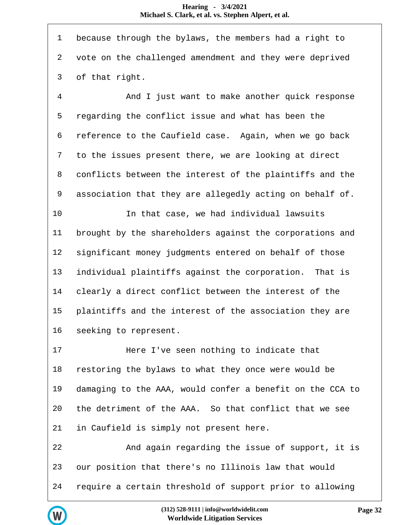| $\mathbf 1$ | because through the bylaws, the members had a right to    |
|-------------|-----------------------------------------------------------|
| 2           | vote on the challenged amendment and they were deprived   |
| 3           | of that right.                                            |
| 4           | And I just want to make another quick response            |
| 5           | regarding the conflict issue and what has been the        |
| 6           | reference to the Caufield case. Again, when we go back    |
| 7           | to the issues present there, we are looking at direct     |
| 8           | conflicts between the interest of the plaintiffs and the  |
| 9           | association that they are allegedly acting on behalf of.  |
| 10          | In that case, we had individual lawsuits                  |
| 11          | brought by the shareholders against the corporations and  |
| 12          | significant money judgments entered on behalf of those    |
| 13          | individual plaintiffs against the corporation. That is    |
| 14          | clearly a direct conflict between the interest of the     |
| 15          | plaintiffs and the interest of the association they are   |
| 16          | seeking to represent.                                     |
| 17          | Here I've seen nothing to indicate that                   |
| 18          | restoring the bylaws to what they once were would be      |
| 19          | damaging to the AAA, would confer a benefit on the CCA to |
| 20          | the detriment of the AAA. So that conflict that we see    |
| 21          | in Caufield is simply not present here.                   |
| 22          | And again regarding the issue of support, it is           |
| 23          | our position that there's no Illinois law that would      |
| 24          | require a certain threshold of support prior to allowing  |

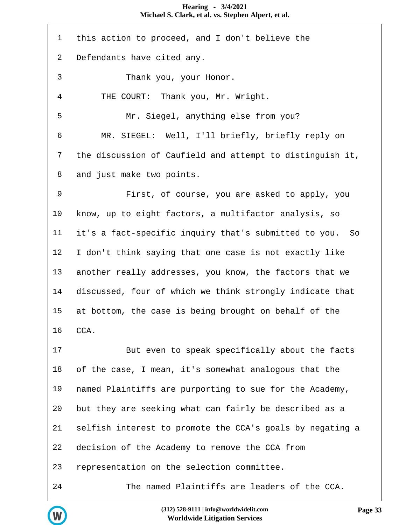| $\mathbf 1$ | this action to proceed, and I don't believe the           |
|-------------|-----------------------------------------------------------|
| 2           | Defendants have cited any.                                |
| 3           | Thank you, your Honor.                                    |
| 4           | THE COURT: Thank you, Mr. Wright.                         |
| 5           | Mr. Siegel, anything else from you?                       |
| 6           | MR. SIEGEL: Well, I'll briefly, briefly reply on          |
| 7           | the discussion of Caufield and attempt to distinguish it, |
| 8           | and just make two points.                                 |
| 9           | First, of course, you are asked to apply, you             |
| 10          | know, up to eight factors, a multifactor analysis, so     |
| 11          | it's a fact-specific inquiry that's submitted to you. So  |
| 12          | I don't think saying that one case is not exactly like    |
| 13          | another really addresses, you know, the factors that we   |
| 14          | discussed, four of which we think strongly indicate that  |
| 15          | at bottom, the case is being brought on behalf of the     |
| 16          | CCA.                                                      |
| 17          | But even to speak specifically about the facts            |
| 18          | of the case, I mean, it's somewhat analogous that the     |
| 19          | named Plaintiffs are purporting to sue for the Academy,   |
| 20          | but they are seeking what can fairly be described as a    |
| 21          | selfish interest to promote the CCA's goals by negating a |
| 22          | decision of the Academy to remove the CCA from            |
| 23          | representation on the selection committee.                |
| 24          | The named Plaintiffs are leaders of the CCA.              |

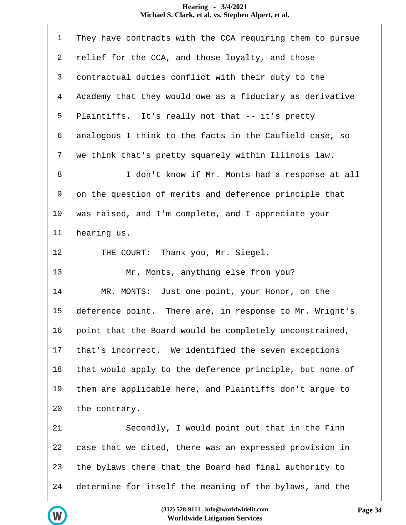| $\mathbf 1$    | They have contracts with the CCA requiring them to pursue |
|----------------|-----------------------------------------------------------|
| 2              | relief for the CCA, and those loyalty, and those          |
| 3              | contractual duties conflict with their duty to the        |
| $\overline{4}$ | Academy that they would owe as a fiduciary as derivative  |
| 5              | Plaintiffs. It's really not that -- it's pretty           |
| 6              | analogous I think to the facts in the Caufield case, so   |
| 7              | we think that's pretty squarely within Illinois law.      |
| $\, 8$         | I don't know if Mr. Monts had a response at all           |
| 9              | on the question of merits and deference principle that    |
| 10             | was raised, and I'm complete, and I appreciate your       |
| 11             | hearing us.                                               |
| 12             | THE COURT: Thank you, Mr. Siegel.                         |
| 13             | Mr. Monts, anything else from you?                        |
| 14             | MR. MONTS: Just one point, your Honor, on the             |
| 15             | deference point. There are, in response to Mr. Wright's   |
| 16             | point that the Board would be completely unconstrained,   |
| 17             | that's incorrect. We identified the seven exceptions      |
| 18             | that would apply to the deference principle, but none of  |
| 19             | them are applicable here, and Plaintiffs don't argue to   |
| 20             | the contrary.                                             |
| 21             | Secondly, I would point out that in the Finn              |
| 22             | case that we cited, there was an expressed provision in   |
| 23             | the bylaws there that the Board had final authority to    |
| 24             | determine for itself the meaning of the bylaws, and the   |

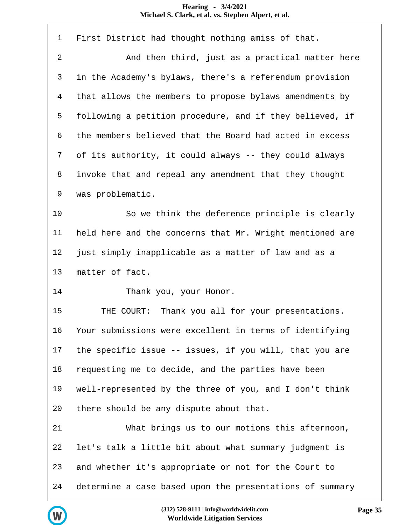| $\mathbf 1$  | First District had thought nothing amiss of that.        |
|--------------|----------------------------------------------------------|
| 2            | And then third, just as a practical matter here          |
| $\mathsf{3}$ | in the Academy's bylaws, there's a referendum provision  |
| 4            | that allows the members to propose bylaws amendments by  |
| 5            | following a petition procedure, and if they believed, if |
| 6            | the members believed that the Board had acted in excess  |
| 7            | of its authority, it could always -- they could always   |
| 8            | invoke that and repeal any amendment that they thought   |
| 9            | was problematic.                                         |
| 10           | So we think the deference principle is clearly           |
| 11           | held here and the concerns that Mr. Wright mentioned are |
| 12           | just simply inapplicable as a matter of law and as a     |
| 13           | matter of fact.                                          |
| 14           | Thank you, your Honor.                                   |
| 15           | THE COURT: Thank you all for your presentations.         |
| 16           | Your submissions were excellent in terms of identifying  |
| 17           | the specific issue -- issues, if you will, that you are  |
| 18           | requesting me to decide, and the parties have been       |
| 19           | well-represented by the three of you, and I don't think  |
| 20           | there should be any dispute about that.                  |
| 21           | What brings us to our motions this afternoon,            |
| 22           | let's talk a little bit about what summary judgment is   |
| 23           | and whether it's appropriate or not for the Court to     |
| 24           | determine a case based upon the presentations of summary |

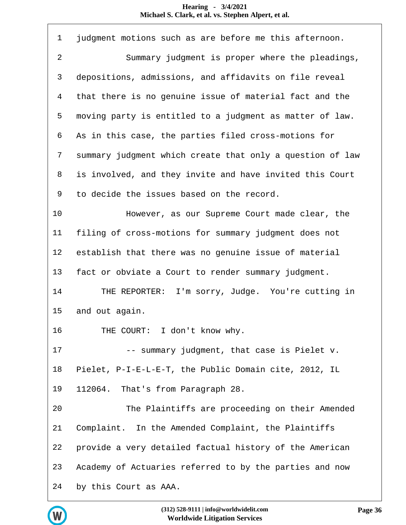| $\mathbf{1}$ | judgment motions such as are before me this afternoon.    |
|--------------|-----------------------------------------------------------|
| $\sqrt{2}$   | Summary judgment is proper where the pleadings,           |
| 3            | depositions, admissions, and affidavits on file reveal    |
| 4            | that there is no genuine issue of material fact and the   |
| 5            | moving party is entitled to a judgment as matter of law.  |
| 6            | As in this case, the parties filed cross-motions for      |
| 7            | summary judgment which create that only a question of law |
| 8            | is involved, and they invite and have invited this Court  |
| 9            | to decide the issues based on the record.                 |
| 10           | However, as our Supreme Court made clear, the             |
| 11           | filing of cross-motions for summary judgment does not     |
| 12           | establish that there was no genuine issue of material     |
| 13           | fact or obviate a Court to render summary judgment.       |
| 14           | THE REPORTER: I'm sorry, Judge. You're cutting in         |
| 15           | and out again.                                            |
| 16           | THE COURT: I don't know why.                              |
| 17           | -- summary judgment, that case is Pielet v.               |
| 18           | Pielet, P-I-E-L-E-T, the Public Domain cite, 2012, IL     |
| 19           | 112064. That's from Paragraph 28.                         |
| 20           | The Plaintiffs are proceeding on their Amended            |
| 21           | Complaint. In the Amended Complaint, the Plaintiffs       |
| 22           | provide a very detailed factual history of the American   |
| 23           | Academy of Actuaries referred to by the parties and now   |
| 24           | by this Court as AAA.                                     |

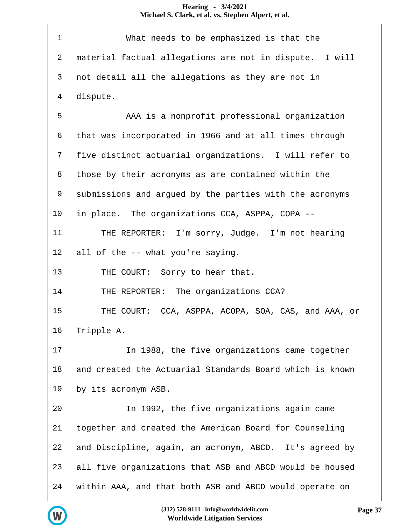| $\mathbf 1$    | What needs to be emphasized is that the                  |
|----------------|----------------------------------------------------------|
| $\overline{2}$ | material factual allegations are not in dispute. I will  |
| 3              | not detail all the allegations as they are not in        |
| $\overline{4}$ | dispute.                                                 |
| 5              | AAA is a nonprofit professional organization             |
| 6              | that was incorporated in 1966 and at all times through   |
| 7              | five distinct actuarial organizations. I will refer to   |
| 8              | those by their acronyms as are contained within the      |
| 9              | submissions and argued by the parties with the acronyms  |
| 10             | in place. The organizations CCA, ASPPA, COPA --          |
| 11             | THE REPORTER: I'm sorry, Judge. I'm not hearing          |
| 12             | all of the -- what you're saying.                        |
| 13             | THE COURT: Sorry to hear that.                           |
| 14             | THE REPORTER: The organizations CCA?                     |
| 15             | THE COURT: CCA, ASPPA, ACOPA, SOA, CAS, and AAA, or      |
| 16             | Tripple A.                                               |
| 17             | In 1988, the five organizations came together            |
| 18             | and created the Actuarial Standards Board which is known |
| 19             | by its acronym ASB.                                      |
| 20             | In 1992, the five organizations again came               |
| 21             | together and created the American Board for Counseling   |
| 22             | and Discipline, again, an acronym, ABCD. It's agreed by  |
| 23             | all five organizations that ASB and ABCD would be housed |
| 24             | within AAA, and that both ASB and ABCD would operate on  |

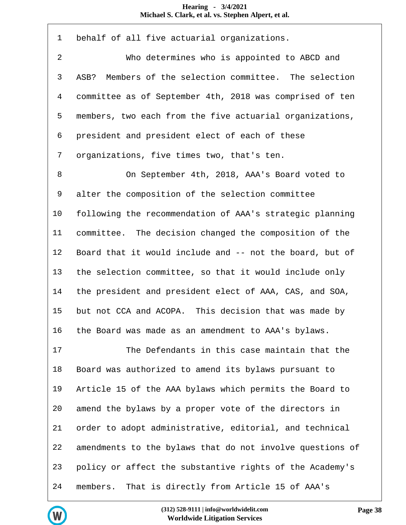| $\mathbf 1$ | behalf of all five actuarial organizations.               |
|-------------|-----------------------------------------------------------|
| 2           | Who determines who is appointed to ABCD and               |
| 3           | Members of the selection committee. The selection<br>ASB? |
| 4           | committee as of September 4th, 2018 was comprised of ten  |
| 5           | members, two each from the five actuarial organizations,  |
| 6           | president and president elect of each of these            |
| 7           | organizations, five times two, that's ten.                |
| 8           | On September 4th, 2018, AAA's Board voted to              |
| 9           | alter the composition of the selection committee          |
| 10          | following the recommendation of AAA's strategic planning  |
| 11          | committee. The decision changed the composition of the    |
| 12          | Board that it would include and -- not the board, but of  |
| 13          | the selection committee, so that it would include only    |
| 14          | the president and president elect of AAA, CAS, and SOA,   |
| 15          | but not CCA and ACOPA. This decision that was made by     |
| 16          | the Board was made as an amendment to AAA's bylaws.       |
| 17          | The Defendants in this case maintain that the             |
| 18          | Board was authorized to amend its bylaws pursuant to      |
| 19          | Article 15 of the AAA bylaws which permits the Board to   |
| 20          | amend the bylaws by a proper vote of the directors in     |
| 21          | order to adopt administrative, editorial, and technical   |
| 22          | amendments to the bylaws that do not involve questions of |
| 23          | policy or affect the substantive rights of the Academy's  |
| 24          | That is directly from Article 15 of AAA's<br>members.     |

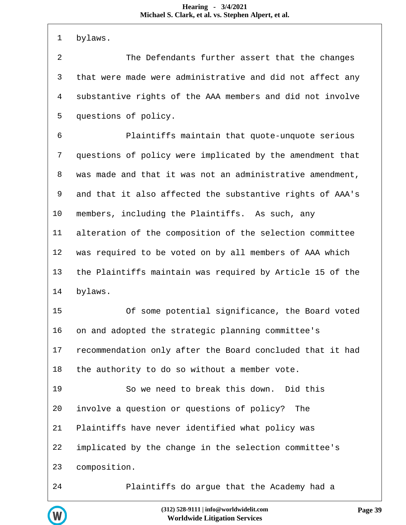| $\mathbf 1$    | bylaws.                                                   |
|----------------|-----------------------------------------------------------|
| $\overline{2}$ | The Defendants further assert that the changes            |
| 3              | that were made were administrative and did not affect any |
| $\overline{4}$ | substantive rights of the AAA members and did not involve |
| 5              | questions of policy.                                      |
| 6              | Plaintiffs maintain that quote-unquote serious            |
| 7              | questions of policy were implicated by the amendment that |
| 8              | was made and that it was not an administrative amendment, |
| 9              | and that it also affected the substantive rights of AAA's |
| 10             | members, including the Plaintiffs. As such, any           |
| 11             | alteration of the composition of the selection committee  |
| 12             | was required to be voted on by all members of AAA which   |
| 13             | the Plaintiffs maintain was required by Article 15 of the |
| 14             | bylaws.                                                   |
| 15             | Of some potential significance, the Board voted           |
| 16             | on and adopted the strategic planning committee's         |
| 17             | recommendation only after the Board concluded that it had |
| 18             | the authority to do so without a member vote.             |
| 19             | So we need to break this down. Did this                   |
| 20             | involve a question or questions of policy?<br>The         |
| 21             | Plaintiffs have never identified what policy was          |
| 22             | implicated by the change in the selection committee's     |
| 23             | composition.                                              |
| 24             | Plaintiffs do argue that the Academy had a                |

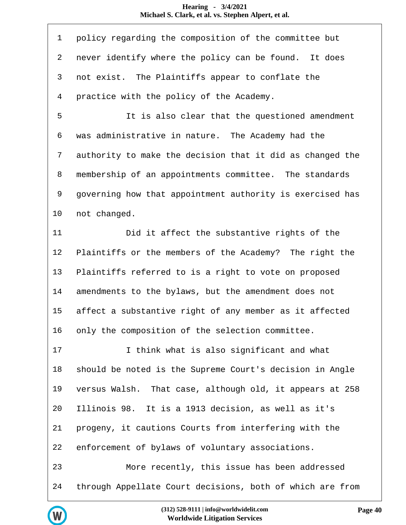| $\mathbf{1}$   | policy regarding the composition of the committee but     |
|----------------|-----------------------------------------------------------|
| 2              | never identify where the policy can be found. It does     |
| 3              | not exist. The Plaintiffs appear to conflate the          |
| $\overline{4}$ | practice with the policy of the Academy.                  |
| 5              | It is also clear that the questioned amendment            |
| 6              | was administrative in nature. The Academy had the         |
| 7              | authority to make the decision that it did as changed the |
| 8              | membership of an appointments committee. The standards    |
| 9              | governing how that appointment authority is exercised has |
| 10             | not changed.                                              |
| 11             | Did it affect the substantive rights of the               |
| 12             | Plaintiffs or the members of the Academy? The right the   |
| 13             | Plaintiffs referred to is a right to vote on proposed     |
| 14             | amendments to the bylaws, but the amendment does not      |
| 15             | affect a substantive right of any member as it affected   |
| 16             | only the composition of the selection committee.          |
| 17             | I think what is also significant and what                 |
| 18             | should be noted is the Supreme Court's decision in Angle  |
| 19             | versus Walsh. That case, although old, it appears at 258  |
| 20             | Illinois 98. It is a 1913 decision, as well as it's       |
| 21             | progeny, it cautions Courts from interfering with the     |
| 22             | enforcement of bylaws of voluntary associations.          |
| 23             | More recently, this issue has been addressed              |
| 24             | through Appellate Court decisions, both of which are from |

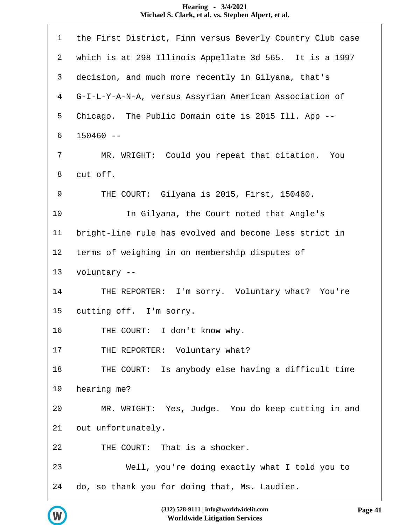| 1              | the First District, Finn versus Beverly Country Club case |
|----------------|-----------------------------------------------------------|
| $\overline{a}$ | which is at 298 Illinois Appellate 3d 565. It is a 1997   |
| 3              | decision, and much more recently in Gilyana, that's       |
| $\overline{4}$ | G-I-L-Y-A-N-A, versus Assyrian American Association of    |
| 5              | Chicago. The Public Domain cite is 2015 Ill. App --       |
| 6              | $150460 - -$                                              |
| 7              | MR. WRIGHT: Could you repeat that citation. You           |
| 8              | cut off.                                                  |
| 9              | THE COURT: Gilyana is 2015, First, 150460.                |
| 10             | In Gilyana, the Court noted that Angle's                  |
| 11             | bright-line rule has evolved and become less strict in    |
| 12             | terms of weighing in on membership disputes of            |
| 13             | voluntary --                                              |
| 14             | THE REPORTER: I'm sorry. Voluntary what? You're           |
| 15             | cutting off. I'm sorry.                                   |
| 16             | THE COURT: I don't know why.                              |
| 17             | THE REPORTER: Voluntary what?                             |
| 18             | THE COURT: Is anybody else having a difficult time        |
| 19             | hearing me?                                               |
| 20             | MR. WRIGHT: Yes, Judge. You do keep cutting in and        |
| 21             | out unfortunately.                                        |
| 22             | THE COURT: That is a shocker.                             |
| 23             | Well, you're doing exactly what I told you to             |
| 24             | do, so thank you for doing that, Ms. Laudien.             |

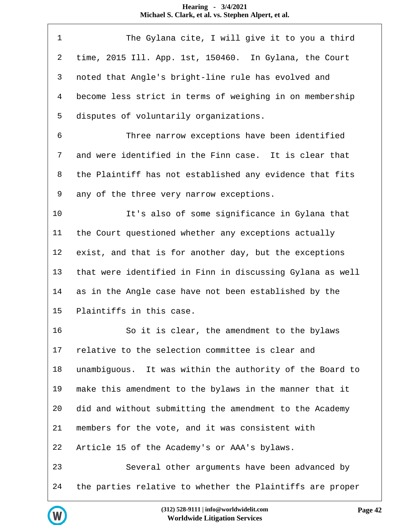| 1              | The Gylana cite, I will give it to you a third            |
|----------------|-----------------------------------------------------------|
| $\overline{2}$ | time, 2015 Ill. App. 1st, 150460. In Gylana, the Court    |
| 3              | noted that Angle's bright-line rule has evolved and       |
| $\overline{4}$ | become less strict in terms of weighing in on membership  |
| 5              | disputes of voluntarily organizations.                    |
| 6              | Three narrow exceptions have been identified              |
| 7              | and were identified in the Finn case. It is clear that    |
| 8              | the Plaintiff has not established any evidence that fits  |
| 9              | any of the three very narrow exceptions.                  |
| 10             | It's also of some significance in Gylana that             |
| 11             | the Court questioned whether any exceptions actually      |
| 12             | exist, and that is for another day, but the exceptions    |
| 13             | that were identified in Finn in discussing Gylana as well |
| 14             | as in the Angle case have not been established by the     |
| 15             | Plaintiffs in this case.                                  |
| 16             | So it is clear, the amendment to the bylaws               |
| 17             | relative to the selection committee is clear and          |
| 18             | unambiguous. It was within the authority of the Board to  |
| 19             | make this amendment to the bylaws in the manner that it   |
| 20             | did and without submitting the amendment to the Academy   |
| 21             | members for the vote, and it was consistent with          |
| 22             | Article 15 of the Academy's or AAA's bylaws.              |
| 23             | Several other arguments have been advanced by             |
| 24             | the parties relative to whether the Plaintiffs are proper |

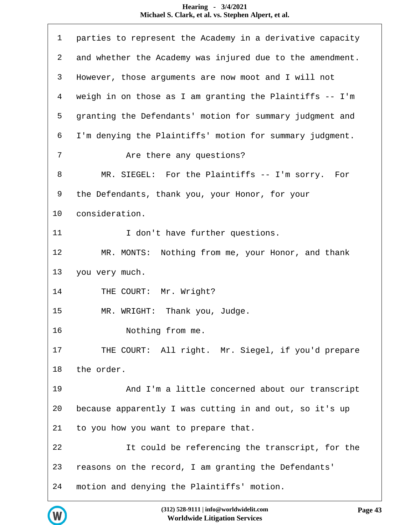| $\mathbf 1$    | parties to represent the Academy in a derivative capacity |
|----------------|-----------------------------------------------------------|
| $\overline{a}$ | and whether the Academy was injured due to the amendment. |
| 3              | However, those arguments are now moot and I will not      |
| $\overline{4}$ | weigh in on those as I am granting the Plaintiffs -- I'm  |
| 5              | granting the Defendants' motion for summary judgment and  |
| 6              | I'm denying the Plaintiffs' motion for summary judgment.  |
| 7              | Are there any questions?                                  |
| 8              | MR. SIEGEL: For the Plaintiffs -- I'm sorry. For          |
| 9              | the Defendants, thank you, your Honor, for your           |
| 10             | consideration.                                            |
| 11             | I don't have further questions.                           |
| 12             | MR. MONTS: Nothing from me, your Honor, and thank         |
| 13             | you very much.                                            |
| 14             | THE COURT: Mr. Wright?                                    |
| 15             | MR. WRIGHT: Thank you, Judge.                             |
| 16             | Nothing from me.                                          |
| 17             | THE COURT: All right. Mr. Siegel, if you'd prepare        |
| 18             | the order.                                                |
| 19             | And I'm a little concerned about our transcript           |
| 20             | because apparently I was cutting in and out, so it's up   |
| 21             | to you how you want to prepare that.                      |
| 22             | It could be referencing the transcript, for the           |
| 23             | reasons on the record, I am granting the Defendants'      |
| 24             | motion and denying the Plaintiffs' motion.                |

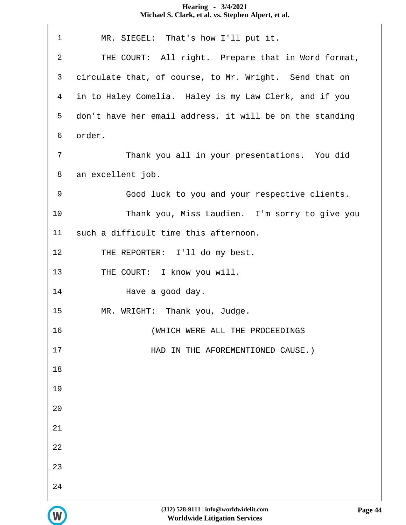| $\mathbf{1}$   | MR. SIEGEL: That's how I'll put it.                      |
|----------------|----------------------------------------------------------|
| $\overline{2}$ | THE COURT: All right. Prepare that in Word format,       |
| 3              | circulate that, of course, to Mr. Wright. Send that on   |
| $\overline{4}$ | in to Haley Comelia. Haley is my Law Clerk, and if you   |
| 5              | don't have her email address, it will be on the standing |
| 6              | order.                                                   |
| $\overline{7}$ | Thank you all in your presentations. You did             |
| 8              | an excellent job.                                        |
| 9              | Good luck to you and your respective clients.            |
| 10             | Thank you, Miss Laudien. I'm sorry to give you           |
| 11             | such a difficult time this afternoon.                    |
| 12             | THE REPORTER: I'll do my best.                           |
| 13             | THE COURT: I know you will.                              |
| 14             | Have a good day.                                         |
| 15             | MR. WRIGHT: Thank you, Judge.                            |
| 16             | (WHICH WERE ALL THE PROCEEDINGS                          |
| 17             | HAD IN THE AFOREMENTIONED CAUSE.)                        |
| 18             |                                                          |
| 19             |                                                          |
| 20             |                                                          |
| 21             |                                                          |
| 22             |                                                          |
| 23             |                                                          |
| 24             |                                                          |

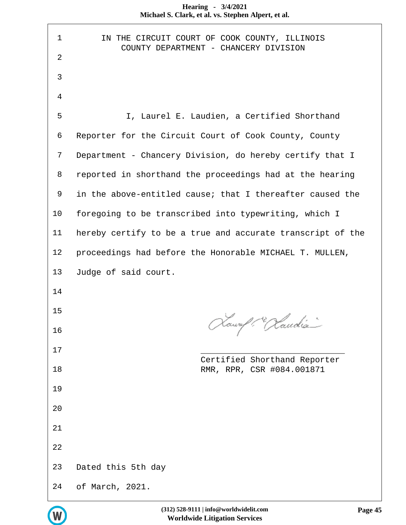| Hearing - $3/4/2021$                                |  |
|-----------------------------------------------------|--|
| Michael S. Clark, et al. vs. Stephen Alpert, et al. |  |

| $\mathbf 1$    | IN THE CIRCUIT COURT OF COOK COUNTY, ILLINOIS<br>COUNTY DEPARTMENT - CHANCERY DIVISION |
|----------------|----------------------------------------------------------------------------------------|
| $\overline{2}$ |                                                                                        |
| 3              |                                                                                        |
| $\overline{4}$ |                                                                                        |
| 5              | I, Laurel E. Laudien, a Certified Shorthand                                            |
| 6              | Reporter for the Circuit Court of Cook County, County                                  |
| 7              | Department - Chancery Division, do hereby certify that I                               |
| 8              | reported in shorthand the proceedings had at the hearing                               |
| 9              | in the above-entitled cause; that I thereafter caused the                              |
| 10             | foregoing to be transcribed into typewriting, which I                                  |
| 11             | hereby certify to be a true and accurate transcript of the                             |
| 12             | proceedings had before the Honorable MICHAEL T. MULLEN,                                |
| 13             | Judge of said court.                                                                   |
| 14             |                                                                                        |
| 15             | Lower / Caud                                                                           |
| 16             |                                                                                        |
| 17             |                                                                                        |
| 18             | Certified Shorthand Reporter<br>RMR, RPR, CSR #084.001871                              |
| 19             |                                                                                        |
| 20             |                                                                                        |
| 21             |                                                                                        |
| 22             |                                                                                        |
| 23             |                                                                                        |
|                | Dated this 5th day                                                                     |

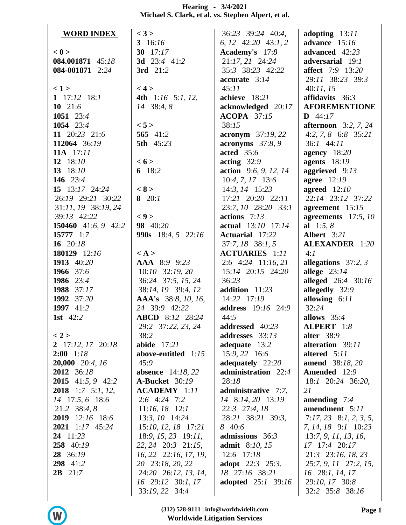| Hearing - $3/4/2021$                                |
|-----------------------------------------------------|
| Michael S. Clark, et al. vs. Stephen Alpert, et al. |

| advance $15:16$<br>3 $16:16$<br>6, 12 $42:20$ $43:1,2$<br>Academy's 17:8<br>advanced 42:23<br>< 0<br>30 $17:17$<br>21:17, 21 24:24<br><b>3d</b> 23:4 41:2<br>084.001871 45:18<br>adversarial 19:1<br>3rd 21:2<br>084-001871 2:24<br>35:3 38:23 42:22<br><b>affect</b> 7:9 13:20<br>29:11 38:23 39:3<br>$accurate$ 3:14<br>< 4 ><br>45:11<br>40:11, 15<br>$\langle 1 \rangle$<br>1 $17:12$ $18:1$<br>4th $1:16$ 5:1, 12,<br>achieve 18:21<br>affidavits $36:3$<br>10 $21:6$<br>14 38:4, 8<br>acknowledged 20:17<br><b>AFOREMENTIONE</b><br><b>ACOPA</b> 37:15<br>1051 $23:4$<br>$D$ 44:17<br>1054 23:4<br>< 5 ><br>38:15<br><b>afternoon</b> $3:2, 7, 24$<br>11 20:23 21:6<br>565 41:2<br>4:2, 7, 8 6:8 35:21<br><b>acronym</b> 37:19, 22<br>112064 36:19<br>acronyms $37:8,9$<br><b>5th</b> 45:23<br>$36:1$ 44:11<br>11A 17:11<br>acted $35:6$<br>agency 18:20<br>12 $18:10$<br>< 6 ><br>acting $32:9$<br>agents $18:19$<br>13 $18:10$<br>6 $18:2$<br>action 9:6, 9, 12, 14<br>aggrieved $9:13$<br>146 23:4<br>$10:4, 7, 17$ 13:6<br><b>agree</b> 12:19<br>< 8 ><br>15 13:17 24:24<br>$14:3, 14$ 15:23<br>agreed $12:10$<br>26:19 29:21 30:22<br>8 $20:1$<br>17:21 20:20 22:11<br>22:14 23:12 37:22<br>31:11, 19 38:19, 24<br>23:7, 10 28:20 33:1<br>agreement $15:15$<br>$\langle 9 \rangle$<br>39:13 42:22<br>actions $7:13$<br>agreements $17:5, 10$<br>98 40:20<br>150460 41:6, 9 42:2<br>actual 13:10 17:14<br>al $1:5, 8$<br>Albert 3:21<br>15777 1:7<br>990s 18:4, 5 22:16<br><b>Actuarial</b> 17:22<br>16 $20:18$<br>$37:7, 18$ $38:1, 5$<br><b>ALEXANDER</b> 1:20<br><b>ACTUARIES</b> 1:11<br>180129 12:16<br>4:1<br>$\langle A \rangle$<br>1913 40:20<br>AAA 8:9 9:23<br>$2:6$ 4:24 11:16, 21<br>allegations $37:2, 3$<br>1966 37:6<br>$10:10$ 32:19, 20<br>15:14 20:15 24:20<br>allege $23:14$<br>1986 23:4<br>36:24 37:5, 15, 24<br>alleged 26:4 30:16<br>36:23<br>allegedly 32:9<br>38:14, 19 39:4, 12<br>1988 37:17<br>addition 11:23<br>1992 37:20<br>AAA's 38:8, 10, 16,<br>14:22 17:19<br>allowing $6:11$<br>24 39:9 42:22<br>32:24<br>1997 41:2<br><b>address</b> 19:16 24:9<br>1st $42:2$<br><b>ABCD</b> 8:12 28:24<br>44:5<br>allows $35:4$<br>29:2 37:22, 23, 24<br>addressed 40:23<br>ALPERT 1:8<br>alter $38:9$<br>38:2<br>addresses 33:13<br>< 2 ><br>abide 17:21<br>2 17:12, 17 20:18<br>adequate 13:2<br>alteration 39:11<br>15:9, 22 16:6<br>$2:00$ 1:18<br>above-entitled 1:15<br>altered 5:11<br>20,000 20:4, 16<br>adequately 22:20<br>amend 38:18, 20<br>45:9<br>administration 22:4<br>2012 36:18<br><b>absence</b> 14:18, 22<br><b>Amended</b> 12:9<br><b>2015</b> 41:5, 9 42:2<br><b>A-Bucket</b> 30:19<br>28:18<br>18:1 20:24 36:20,<br><b>2018</b> 1:7 5:1, 12,<br><b>ACADEMY</b> 1:11<br>administrative 7:7,<br>21<br>14 17:5, 6 18:6<br>$2:6$ 4:24 7:2<br>14 8:14, 20 13:19<br>amending $7:4$<br>amendment 5:11<br>21:2 38:4, 8<br>22:3 27:4, 18<br>$11:16, 18$ 12:1<br>13:3, 10 14:24<br>2019 12:16 18:6<br>28:21 38:21 39:3,<br>$7:17,23$ 8:1, 2, 3, 5,<br>15:10, 12, 18 17:21<br>8 40:6<br>2021 1:17 45:24<br>7, 14, 18 9:1 10:23<br>24 11:23<br>$18:9, 15, 23$ 19:11,<br>admissions 36:3<br>13:7, 9, 11, 13, 16,<br>258 40:19<br>22, 24 20:3 21:15,<br><b>admit</b> 8:10, 15<br>17 17:4 20:17<br>16, 22 22:16, 17, 19,<br>28 36:19<br>$12:6$ 17:18<br>$21:3$ $23:16$ , $18$ , $23$<br>298 41:2<br>20 23:18, 20, 22<br><b>adopt</b> $22:3$ $25:3$ ,<br>25:7, 9, 11 27:2, 15,<br>$2B$ 21:7<br>24:20 26:12, 13, 14,<br>18 27:16 38:21<br>16 28:1, 14, 17<br>16 29:12 30:1, 17<br><b>adopted</b> 25:1 39:16<br>29:10, 17 30:8<br>33:19, 22 34:4<br>32:2 35:8 38:16 | <b>WORD INDEX</b> | $<$ 3 > | 36:23 39:24 40:4, | adopting $13:11$ |
|----------------------------------------------------------------------------------------------------------------------------------------------------------------------------------------------------------------------------------------------------------------------------------------------------------------------------------------------------------------------------------------------------------------------------------------------------------------------------------------------------------------------------------------------------------------------------------------------------------------------------------------------------------------------------------------------------------------------------------------------------------------------------------------------------------------------------------------------------------------------------------------------------------------------------------------------------------------------------------------------------------------------------------------------------------------------------------------------------------------------------------------------------------------------------------------------------------------------------------------------------------------------------------------------------------------------------------------------------------------------------------------------------------------------------------------------------------------------------------------------------------------------------------------------------------------------------------------------------------------------------------------------------------------------------------------------------------------------------------------------------------------------------------------------------------------------------------------------------------------------------------------------------------------------------------------------------------------------------------------------------------------------------------------------------------------------------------------------------------------------------------------------------------------------------------------------------------------------------------------------------------------------------------------------------------------------------------------------------------------------------------------------------------------------------------------------------------------------------------------------------------------------------------------------------------------------------------------------------------------------------------------------------------------------------------------------------------------------------------------------------------------------------------------------------------------------------------------------------------------------------------------------------------------------------------------------------------------------------------------------------------------------------------------------------------------------------------------------------------------------------------------------------------------------------------------------------------------------------------------------------------------------------------------------------------------------------------------------------------------------------------------------------------------------------------------------------------------------------------------------------------------------------------------------------------------------------------------------------------|-------------------|---------|-------------------|------------------|
|                                                                                                                                                                                                                                                                                                                                                                                                                                                                                                                                                                                                                                                                                                                                                                                                                                                                                                                                                                                                                                                                                                                                                                                                                                                                                                                                                                                                                                                                                                                                                                                                                                                                                                                                                                                                                                                                                                                                                                                                                                                                                                                                                                                                                                                                                                                                                                                                                                                                                                                                                                                                                                                                                                                                                                                                                                                                                                                                                                                                                                                                                                                                                                                                                                                                                                                                                                                                                                                                                                                                                                                                          |                   |         |                   |                  |
|                                                                                                                                                                                                                                                                                                                                                                                                                                                                                                                                                                                                                                                                                                                                                                                                                                                                                                                                                                                                                                                                                                                                                                                                                                                                                                                                                                                                                                                                                                                                                                                                                                                                                                                                                                                                                                                                                                                                                                                                                                                                                                                                                                                                                                                                                                                                                                                                                                                                                                                                                                                                                                                                                                                                                                                                                                                                                                                                                                                                                                                                                                                                                                                                                                                                                                                                                                                                                                                                                                                                                                                                          |                   |         |                   |                  |
|                                                                                                                                                                                                                                                                                                                                                                                                                                                                                                                                                                                                                                                                                                                                                                                                                                                                                                                                                                                                                                                                                                                                                                                                                                                                                                                                                                                                                                                                                                                                                                                                                                                                                                                                                                                                                                                                                                                                                                                                                                                                                                                                                                                                                                                                                                                                                                                                                                                                                                                                                                                                                                                                                                                                                                                                                                                                                                                                                                                                                                                                                                                                                                                                                                                                                                                                                                                                                                                                                                                                                                                                          |                   |         |                   |                  |
|                                                                                                                                                                                                                                                                                                                                                                                                                                                                                                                                                                                                                                                                                                                                                                                                                                                                                                                                                                                                                                                                                                                                                                                                                                                                                                                                                                                                                                                                                                                                                                                                                                                                                                                                                                                                                                                                                                                                                                                                                                                                                                                                                                                                                                                                                                                                                                                                                                                                                                                                                                                                                                                                                                                                                                                                                                                                                                                                                                                                                                                                                                                                                                                                                                                                                                                                                                                                                                                                                                                                                                                                          |                   |         |                   |                  |
|                                                                                                                                                                                                                                                                                                                                                                                                                                                                                                                                                                                                                                                                                                                                                                                                                                                                                                                                                                                                                                                                                                                                                                                                                                                                                                                                                                                                                                                                                                                                                                                                                                                                                                                                                                                                                                                                                                                                                                                                                                                                                                                                                                                                                                                                                                                                                                                                                                                                                                                                                                                                                                                                                                                                                                                                                                                                                                                                                                                                                                                                                                                                                                                                                                                                                                                                                                                                                                                                                                                                                                                                          |                   |         |                   |                  |
|                                                                                                                                                                                                                                                                                                                                                                                                                                                                                                                                                                                                                                                                                                                                                                                                                                                                                                                                                                                                                                                                                                                                                                                                                                                                                                                                                                                                                                                                                                                                                                                                                                                                                                                                                                                                                                                                                                                                                                                                                                                                                                                                                                                                                                                                                                                                                                                                                                                                                                                                                                                                                                                                                                                                                                                                                                                                                                                                                                                                                                                                                                                                                                                                                                                                                                                                                                                                                                                                                                                                                                                                          |                   |         |                   |                  |
|                                                                                                                                                                                                                                                                                                                                                                                                                                                                                                                                                                                                                                                                                                                                                                                                                                                                                                                                                                                                                                                                                                                                                                                                                                                                                                                                                                                                                                                                                                                                                                                                                                                                                                                                                                                                                                                                                                                                                                                                                                                                                                                                                                                                                                                                                                                                                                                                                                                                                                                                                                                                                                                                                                                                                                                                                                                                                                                                                                                                                                                                                                                                                                                                                                                                                                                                                                                                                                                                                                                                                                                                          |                   |         |                   |                  |
|                                                                                                                                                                                                                                                                                                                                                                                                                                                                                                                                                                                                                                                                                                                                                                                                                                                                                                                                                                                                                                                                                                                                                                                                                                                                                                                                                                                                                                                                                                                                                                                                                                                                                                                                                                                                                                                                                                                                                                                                                                                                                                                                                                                                                                                                                                                                                                                                                                                                                                                                                                                                                                                                                                                                                                                                                                                                                                                                                                                                                                                                                                                                                                                                                                                                                                                                                                                                                                                                                                                                                                                                          |                   |         |                   |                  |
|                                                                                                                                                                                                                                                                                                                                                                                                                                                                                                                                                                                                                                                                                                                                                                                                                                                                                                                                                                                                                                                                                                                                                                                                                                                                                                                                                                                                                                                                                                                                                                                                                                                                                                                                                                                                                                                                                                                                                                                                                                                                                                                                                                                                                                                                                                                                                                                                                                                                                                                                                                                                                                                                                                                                                                                                                                                                                                                                                                                                                                                                                                                                                                                                                                                                                                                                                                                                                                                                                                                                                                                                          |                   |         |                   |                  |
|                                                                                                                                                                                                                                                                                                                                                                                                                                                                                                                                                                                                                                                                                                                                                                                                                                                                                                                                                                                                                                                                                                                                                                                                                                                                                                                                                                                                                                                                                                                                                                                                                                                                                                                                                                                                                                                                                                                                                                                                                                                                                                                                                                                                                                                                                                                                                                                                                                                                                                                                                                                                                                                                                                                                                                                                                                                                                                                                                                                                                                                                                                                                                                                                                                                                                                                                                                                                                                                                                                                                                                                                          |                   |         |                   |                  |
|                                                                                                                                                                                                                                                                                                                                                                                                                                                                                                                                                                                                                                                                                                                                                                                                                                                                                                                                                                                                                                                                                                                                                                                                                                                                                                                                                                                                                                                                                                                                                                                                                                                                                                                                                                                                                                                                                                                                                                                                                                                                                                                                                                                                                                                                                                                                                                                                                                                                                                                                                                                                                                                                                                                                                                                                                                                                                                                                                                                                                                                                                                                                                                                                                                                                                                                                                                                                                                                                                                                                                                                                          |                   |         |                   |                  |
|                                                                                                                                                                                                                                                                                                                                                                                                                                                                                                                                                                                                                                                                                                                                                                                                                                                                                                                                                                                                                                                                                                                                                                                                                                                                                                                                                                                                                                                                                                                                                                                                                                                                                                                                                                                                                                                                                                                                                                                                                                                                                                                                                                                                                                                                                                                                                                                                                                                                                                                                                                                                                                                                                                                                                                                                                                                                                                                                                                                                                                                                                                                                                                                                                                                                                                                                                                                                                                                                                                                                                                                                          |                   |         |                   |                  |
|                                                                                                                                                                                                                                                                                                                                                                                                                                                                                                                                                                                                                                                                                                                                                                                                                                                                                                                                                                                                                                                                                                                                                                                                                                                                                                                                                                                                                                                                                                                                                                                                                                                                                                                                                                                                                                                                                                                                                                                                                                                                                                                                                                                                                                                                                                                                                                                                                                                                                                                                                                                                                                                                                                                                                                                                                                                                                                                                                                                                                                                                                                                                                                                                                                                                                                                                                                                                                                                                                                                                                                                                          |                   |         |                   |                  |
|                                                                                                                                                                                                                                                                                                                                                                                                                                                                                                                                                                                                                                                                                                                                                                                                                                                                                                                                                                                                                                                                                                                                                                                                                                                                                                                                                                                                                                                                                                                                                                                                                                                                                                                                                                                                                                                                                                                                                                                                                                                                                                                                                                                                                                                                                                                                                                                                                                                                                                                                                                                                                                                                                                                                                                                                                                                                                                                                                                                                                                                                                                                                                                                                                                                                                                                                                                                                                                                                                                                                                                                                          |                   |         |                   |                  |
|                                                                                                                                                                                                                                                                                                                                                                                                                                                                                                                                                                                                                                                                                                                                                                                                                                                                                                                                                                                                                                                                                                                                                                                                                                                                                                                                                                                                                                                                                                                                                                                                                                                                                                                                                                                                                                                                                                                                                                                                                                                                                                                                                                                                                                                                                                                                                                                                                                                                                                                                                                                                                                                                                                                                                                                                                                                                                                                                                                                                                                                                                                                                                                                                                                                                                                                                                                                                                                                                                                                                                                                                          |                   |         |                   |                  |
|                                                                                                                                                                                                                                                                                                                                                                                                                                                                                                                                                                                                                                                                                                                                                                                                                                                                                                                                                                                                                                                                                                                                                                                                                                                                                                                                                                                                                                                                                                                                                                                                                                                                                                                                                                                                                                                                                                                                                                                                                                                                                                                                                                                                                                                                                                                                                                                                                                                                                                                                                                                                                                                                                                                                                                                                                                                                                                                                                                                                                                                                                                                                                                                                                                                                                                                                                                                                                                                                                                                                                                                                          |                   |         |                   |                  |
|                                                                                                                                                                                                                                                                                                                                                                                                                                                                                                                                                                                                                                                                                                                                                                                                                                                                                                                                                                                                                                                                                                                                                                                                                                                                                                                                                                                                                                                                                                                                                                                                                                                                                                                                                                                                                                                                                                                                                                                                                                                                                                                                                                                                                                                                                                                                                                                                                                                                                                                                                                                                                                                                                                                                                                                                                                                                                                                                                                                                                                                                                                                                                                                                                                                                                                                                                                                                                                                                                                                                                                                                          |                   |         |                   |                  |
|                                                                                                                                                                                                                                                                                                                                                                                                                                                                                                                                                                                                                                                                                                                                                                                                                                                                                                                                                                                                                                                                                                                                                                                                                                                                                                                                                                                                                                                                                                                                                                                                                                                                                                                                                                                                                                                                                                                                                                                                                                                                                                                                                                                                                                                                                                                                                                                                                                                                                                                                                                                                                                                                                                                                                                                                                                                                                                                                                                                                                                                                                                                                                                                                                                                                                                                                                                                                                                                                                                                                                                                                          |                   |         |                   |                  |
|                                                                                                                                                                                                                                                                                                                                                                                                                                                                                                                                                                                                                                                                                                                                                                                                                                                                                                                                                                                                                                                                                                                                                                                                                                                                                                                                                                                                                                                                                                                                                                                                                                                                                                                                                                                                                                                                                                                                                                                                                                                                                                                                                                                                                                                                                                                                                                                                                                                                                                                                                                                                                                                                                                                                                                                                                                                                                                                                                                                                                                                                                                                                                                                                                                                                                                                                                                                                                                                                                                                                                                                                          |                   |         |                   |                  |
|                                                                                                                                                                                                                                                                                                                                                                                                                                                                                                                                                                                                                                                                                                                                                                                                                                                                                                                                                                                                                                                                                                                                                                                                                                                                                                                                                                                                                                                                                                                                                                                                                                                                                                                                                                                                                                                                                                                                                                                                                                                                                                                                                                                                                                                                                                                                                                                                                                                                                                                                                                                                                                                                                                                                                                                                                                                                                                                                                                                                                                                                                                                                                                                                                                                                                                                                                                                                                                                                                                                                                                                                          |                   |         |                   |                  |
|                                                                                                                                                                                                                                                                                                                                                                                                                                                                                                                                                                                                                                                                                                                                                                                                                                                                                                                                                                                                                                                                                                                                                                                                                                                                                                                                                                                                                                                                                                                                                                                                                                                                                                                                                                                                                                                                                                                                                                                                                                                                                                                                                                                                                                                                                                                                                                                                                                                                                                                                                                                                                                                                                                                                                                                                                                                                                                                                                                                                                                                                                                                                                                                                                                                                                                                                                                                                                                                                                                                                                                                                          |                   |         |                   |                  |
|                                                                                                                                                                                                                                                                                                                                                                                                                                                                                                                                                                                                                                                                                                                                                                                                                                                                                                                                                                                                                                                                                                                                                                                                                                                                                                                                                                                                                                                                                                                                                                                                                                                                                                                                                                                                                                                                                                                                                                                                                                                                                                                                                                                                                                                                                                                                                                                                                                                                                                                                                                                                                                                                                                                                                                                                                                                                                                                                                                                                                                                                                                                                                                                                                                                                                                                                                                                                                                                                                                                                                                                                          |                   |         |                   |                  |
|                                                                                                                                                                                                                                                                                                                                                                                                                                                                                                                                                                                                                                                                                                                                                                                                                                                                                                                                                                                                                                                                                                                                                                                                                                                                                                                                                                                                                                                                                                                                                                                                                                                                                                                                                                                                                                                                                                                                                                                                                                                                                                                                                                                                                                                                                                                                                                                                                                                                                                                                                                                                                                                                                                                                                                                                                                                                                                                                                                                                                                                                                                                                                                                                                                                                                                                                                                                                                                                                                                                                                                                                          |                   |         |                   |                  |
|                                                                                                                                                                                                                                                                                                                                                                                                                                                                                                                                                                                                                                                                                                                                                                                                                                                                                                                                                                                                                                                                                                                                                                                                                                                                                                                                                                                                                                                                                                                                                                                                                                                                                                                                                                                                                                                                                                                                                                                                                                                                                                                                                                                                                                                                                                                                                                                                                                                                                                                                                                                                                                                                                                                                                                                                                                                                                                                                                                                                                                                                                                                                                                                                                                                                                                                                                                                                                                                                                                                                                                                                          |                   |         |                   |                  |
|                                                                                                                                                                                                                                                                                                                                                                                                                                                                                                                                                                                                                                                                                                                                                                                                                                                                                                                                                                                                                                                                                                                                                                                                                                                                                                                                                                                                                                                                                                                                                                                                                                                                                                                                                                                                                                                                                                                                                                                                                                                                                                                                                                                                                                                                                                                                                                                                                                                                                                                                                                                                                                                                                                                                                                                                                                                                                                                                                                                                                                                                                                                                                                                                                                                                                                                                                                                                                                                                                                                                                                                                          |                   |         |                   |                  |
|                                                                                                                                                                                                                                                                                                                                                                                                                                                                                                                                                                                                                                                                                                                                                                                                                                                                                                                                                                                                                                                                                                                                                                                                                                                                                                                                                                                                                                                                                                                                                                                                                                                                                                                                                                                                                                                                                                                                                                                                                                                                                                                                                                                                                                                                                                                                                                                                                                                                                                                                                                                                                                                                                                                                                                                                                                                                                                                                                                                                                                                                                                                                                                                                                                                                                                                                                                                                                                                                                                                                                                                                          |                   |         |                   |                  |
|                                                                                                                                                                                                                                                                                                                                                                                                                                                                                                                                                                                                                                                                                                                                                                                                                                                                                                                                                                                                                                                                                                                                                                                                                                                                                                                                                                                                                                                                                                                                                                                                                                                                                                                                                                                                                                                                                                                                                                                                                                                                                                                                                                                                                                                                                                                                                                                                                                                                                                                                                                                                                                                                                                                                                                                                                                                                                                                                                                                                                                                                                                                                                                                                                                                                                                                                                                                                                                                                                                                                                                                                          |                   |         |                   |                  |
|                                                                                                                                                                                                                                                                                                                                                                                                                                                                                                                                                                                                                                                                                                                                                                                                                                                                                                                                                                                                                                                                                                                                                                                                                                                                                                                                                                                                                                                                                                                                                                                                                                                                                                                                                                                                                                                                                                                                                                                                                                                                                                                                                                                                                                                                                                                                                                                                                                                                                                                                                                                                                                                                                                                                                                                                                                                                                                                                                                                                                                                                                                                                                                                                                                                                                                                                                                                                                                                                                                                                                                                                          |                   |         |                   |                  |
|                                                                                                                                                                                                                                                                                                                                                                                                                                                                                                                                                                                                                                                                                                                                                                                                                                                                                                                                                                                                                                                                                                                                                                                                                                                                                                                                                                                                                                                                                                                                                                                                                                                                                                                                                                                                                                                                                                                                                                                                                                                                                                                                                                                                                                                                                                                                                                                                                                                                                                                                                                                                                                                                                                                                                                                                                                                                                                                                                                                                                                                                                                                                                                                                                                                                                                                                                                                                                                                                                                                                                                                                          |                   |         |                   |                  |
|                                                                                                                                                                                                                                                                                                                                                                                                                                                                                                                                                                                                                                                                                                                                                                                                                                                                                                                                                                                                                                                                                                                                                                                                                                                                                                                                                                                                                                                                                                                                                                                                                                                                                                                                                                                                                                                                                                                                                                                                                                                                                                                                                                                                                                                                                                                                                                                                                                                                                                                                                                                                                                                                                                                                                                                                                                                                                                                                                                                                                                                                                                                                                                                                                                                                                                                                                                                                                                                                                                                                                                                                          |                   |         |                   |                  |
|                                                                                                                                                                                                                                                                                                                                                                                                                                                                                                                                                                                                                                                                                                                                                                                                                                                                                                                                                                                                                                                                                                                                                                                                                                                                                                                                                                                                                                                                                                                                                                                                                                                                                                                                                                                                                                                                                                                                                                                                                                                                                                                                                                                                                                                                                                                                                                                                                                                                                                                                                                                                                                                                                                                                                                                                                                                                                                                                                                                                                                                                                                                                                                                                                                                                                                                                                                                                                                                                                                                                                                                                          |                   |         |                   |                  |
|                                                                                                                                                                                                                                                                                                                                                                                                                                                                                                                                                                                                                                                                                                                                                                                                                                                                                                                                                                                                                                                                                                                                                                                                                                                                                                                                                                                                                                                                                                                                                                                                                                                                                                                                                                                                                                                                                                                                                                                                                                                                                                                                                                                                                                                                                                                                                                                                                                                                                                                                                                                                                                                                                                                                                                                                                                                                                                                                                                                                                                                                                                                                                                                                                                                                                                                                                                                                                                                                                                                                                                                                          |                   |         |                   |                  |
|                                                                                                                                                                                                                                                                                                                                                                                                                                                                                                                                                                                                                                                                                                                                                                                                                                                                                                                                                                                                                                                                                                                                                                                                                                                                                                                                                                                                                                                                                                                                                                                                                                                                                                                                                                                                                                                                                                                                                                                                                                                                                                                                                                                                                                                                                                                                                                                                                                                                                                                                                                                                                                                                                                                                                                                                                                                                                                                                                                                                                                                                                                                                                                                                                                                                                                                                                                                                                                                                                                                                                                                                          |                   |         |                   |                  |
|                                                                                                                                                                                                                                                                                                                                                                                                                                                                                                                                                                                                                                                                                                                                                                                                                                                                                                                                                                                                                                                                                                                                                                                                                                                                                                                                                                                                                                                                                                                                                                                                                                                                                                                                                                                                                                                                                                                                                                                                                                                                                                                                                                                                                                                                                                                                                                                                                                                                                                                                                                                                                                                                                                                                                                                                                                                                                                                                                                                                                                                                                                                                                                                                                                                                                                                                                                                                                                                                                                                                                                                                          |                   |         |                   |                  |
|                                                                                                                                                                                                                                                                                                                                                                                                                                                                                                                                                                                                                                                                                                                                                                                                                                                                                                                                                                                                                                                                                                                                                                                                                                                                                                                                                                                                                                                                                                                                                                                                                                                                                                                                                                                                                                                                                                                                                                                                                                                                                                                                                                                                                                                                                                                                                                                                                                                                                                                                                                                                                                                                                                                                                                                                                                                                                                                                                                                                                                                                                                                                                                                                                                                                                                                                                                                                                                                                                                                                                                                                          |                   |         |                   |                  |
|                                                                                                                                                                                                                                                                                                                                                                                                                                                                                                                                                                                                                                                                                                                                                                                                                                                                                                                                                                                                                                                                                                                                                                                                                                                                                                                                                                                                                                                                                                                                                                                                                                                                                                                                                                                                                                                                                                                                                                                                                                                                                                                                                                                                                                                                                                                                                                                                                                                                                                                                                                                                                                                                                                                                                                                                                                                                                                                                                                                                                                                                                                                                                                                                                                                                                                                                                                                                                                                                                                                                                                                                          |                   |         |                   |                  |
|                                                                                                                                                                                                                                                                                                                                                                                                                                                                                                                                                                                                                                                                                                                                                                                                                                                                                                                                                                                                                                                                                                                                                                                                                                                                                                                                                                                                                                                                                                                                                                                                                                                                                                                                                                                                                                                                                                                                                                                                                                                                                                                                                                                                                                                                                                                                                                                                                                                                                                                                                                                                                                                                                                                                                                                                                                                                                                                                                                                                                                                                                                                                                                                                                                                                                                                                                                                                                                                                                                                                                                                                          |                   |         |                   |                  |
|                                                                                                                                                                                                                                                                                                                                                                                                                                                                                                                                                                                                                                                                                                                                                                                                                                                                                                                                                                                                                                                                                                                                                                                                                                                                                                                                                                                                                                                                                                                                                                                                                                                                                                                                                                                                                                                                                                                                                                                                                                                                                                                                                                                                                                                                                                                                                                                                                                                                                                                                                                                                                                                                                                                                                                                                                                                                                                                                                                                                                                                                                                                                                                                                                                                                                                                                                                                                                                                                                                                                                                                                          |                   |         |                   |                  |
|                                                                                                                                                                                                                                                                                                                                                                                                                                                                                                                                                                                                                                                                                                                                                                                                                                                                                                                                                                                                                                                                                                                                                                                                                                                                                                                                                                                                                                                                                                                                                                                                                                                                                                                                                                                                                                                                                                                                                                                                                                                                                                                                                                                                                                                                                                                                                                                                                                                                                                                                                                                                                                                                                                                                                                                                                                                                                                                                                                                                                                                                                                                                                                                                                                                                                                                                                                                                                                                                                                                                                                                                          |                   |         |                   |                  |
|                                                                                                                                                                                                                                                                                                                                                                                                                                                                                                                                                                                                                                                                                                                                                                                                                                                                                                                                                                                                                                                                                                                                                                                                                                                                                                                                                                                                                                                                                                                                                                                                                                                                                                                                                                                                                                                                                                                                                                                                                                                                                                                                                                                                                                                                                                                                                                                                                                                                                                                                                                                                                                                                                                                                                                                                                                                                                                                                                                                                                                                                                                                                                                                                                                                                                                                                                                                                                                                                                                                                                                                                          |                   |         |                   |                  |
|                                                                                                                                                                                                                                                                                                                                                                                                                                                                                                                                                                                                                                                                                                                                                                                                                                                                                                                                                                                                                                                                                                                                                                                                                                                                                                                                                                                                                                                                                                                                                                                                                                                                                                                                                                                                                                                                                                                                                                                                                                                                                                                                                                                                                                                                                                                                                                                                                                                                                                                                                                                                                                                                                                                                                                                                                                                                                                                                                                                                                                                                                                                                                                                                                                                                                                                                                                                                                                                                                                                                                                                                          |                   |         |                   |                  |
|                                                                                                                                                                                                                                                                                                                                                                                                                                                                                                                                                                                                                                                                                                                                                                                                                                                                                                                                                                                                                                                                                                                                                                                                                                                                                                                                                                                                                                                                                                                                                                                                                                                                                                                                                                                                                                                                                                                                                                                                                                                                                                                                                                                                                                                                                                                                                                                                                                                                                                                                                                                                                                                                                                                                                                                                                                                                                                                                                                                                                                                                                                                                                                                                                                                                                                                                                                                                                                                                                                                                                                                                          |                   |         |                   |                  |
|                                                                                                                                                                                                                                                                                                                                                                                                                                                                                                                                                                                                                                                                                                                                                                                                                                                                                                                                                                                                                                                                                                                                                                                                                                                                                                                                                                                                                                                                                                                                                                                                                                                                                                                                                                                                                                                                                                                                                                                                                                                                                                                                                                                                                                                                                                                                                                                                                                                                                                                                                                                                                                                                                                                                                                                                                                                                                                                                                                                                                                                                                                                                                                                                                                                                                                                                                                                                                                                                                                                                                                                                          |                   |         |                   |                  |
|                                                                                                                                                                                                                                                                                                                                                                                                                                                                                                                                                                                                                                                                                                                                                                                                                                                                                                                                                                                                                                                                                                                                                                                                                                                                                                                                                                                                                                                                                                                                                                                                                                                                                                                                                                                                                                                                                                                                                                                                                                                                                                                                                                                                                                                                                                                                                                                                                                                                                                                                                                                                                                                                                                                                                                                                                                                                                                                                                                                                                                                                                                                                                                                                                                                                                                                                                                                                                                                                                                                                                                                                          |                   |         |                   |                  |
|                                                                                                                                                                                                                                                                                                                                                                                                                                                                                                                                                                                                                                                                                                                                                                                                                                                                                                                                                                                                                                                                                                                                                                                                                                                                                                                                                                                                                                                                                                                                                                                                                                                                                                                                                                                                                                                                                                                                                                                                                                                                                                                                                                                                                                                                                                                                                                                                                                                                                                                                                                                                                                                                                                                                                                                                                                                                                                                                                                                                                                                                                                                                                                                                                                                                                                                                                                                                                                                                                                                                                                                                          |                   |         |                   |                  |
|                                                                                                                                                                                                                                                                                                                                                                                                                                                                                                                                                                                                                                                                                                                                                                                                                                                                                                                                                                                                                                                                                                                                                                                                                                                                                                                                                                                                                                                                                                                                                                                                                                                                                                                                                                                                                                                                                                                                                                                                                                                                                                                                                                                                                                                                                                                                                                                                                                                                                                                                                                                                                                                                                                                                                                                                                                                                                                                                                                                                                                                                                                                                                                                                                                                                                                                                                                                                                                                                                                                                                                                                          |                   |         |                   |                  |
|                                                                                                                                                                                                                                                                                                                                                                                                                                                                                                                                                                                                                                                                                                                                                                                                                                                                                                                                                                                                                                                                                                                                                                                                                                                                                                                                                                                                                                                                                                                                                                                                                                                                                                                                                                                                                                                                                                                                                                                                                                                                                                                                                                                                                                                                                                                                                                                                                                                                                                                                                                                                                                                                                                                                                                                                                                                                                                                                                                                                                                                                                                                                                                                                                                                                                                                                                                                                                                                                                                                                                                                                          |                   |         |                   |                  |
|                                                                                                                                                                                                                                                                                                                                                                                                                                                                                                                                                                                                                                                                                                                                                                                                                                                                                                                                                                                                                                                                                                                                                                                                                                                                                                                                                                                                                                                                                                                                                                                                                                                                                                                                                                                                                                                                                                                                                                                                                                                                                                                                                                                                                                                                                                                                                                                                                                                                                                                                                                                                                                                                                                                                                                                                                                                                                                                                                                                                                                                                                                                                                                                                                                                                                                                                                                                                                                                                                                                                                                                                          |                   |         |                   |                  |
|                                                                                                                                                                                                                                                                                                                                                                                                                                                                                                                                                                                                                                                                                                                                                                                                                                                                                                                                                                                                                                                                                                                                                                                                                                                                                                                                                                                                                                                                                                                                                                                                                                                                                                                                                                                                                                                                                                                                                                                                                                                                                                                                                                                                                                                                                                                                                                                                                                                                                                                                                                                                                                                                                                                                                                                                                                                                                                                                                                                                                                                                                                                                                                                                                                                                                                                                                                                                                                                                                                                                                                                                          |                   |         |                   |                  |

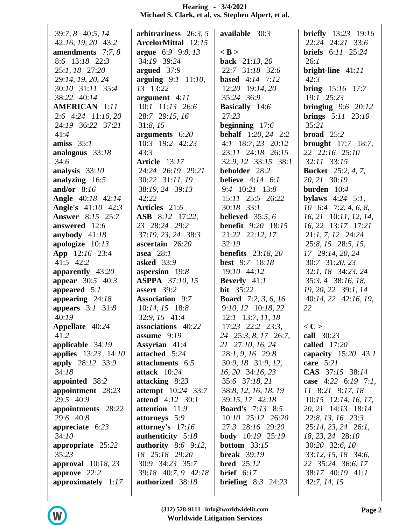| 39:7, 8 40:5, 14           | arbitrariness $26:3, 5$     | available $30:3$            | <b>briefly</b> 13:23 19:16         |
|----------------------------|-----------------------------|-----------------------------|------------------------------------|
| 42:16, 19, 20 43:2         | <b>ArcelorMittal</b> 12:15  |                             | 22:24 24:21 33:6                   |
| amendments $7:7,8$         | argue 6:9 9:8, 13           | $<$ B $>$                   | <b>briefs</b> 6:11 25:24           |
| 8:6 13:18 22:3             | 34:19 39:24                 | back 21:13, 20              | 26:1                               |
| 25:1, 18 27:20             | argued $37:9$               | 22:7 31:18 32:6             | bright-line $41:11$                |
| 29:14, 19, 20, 24          | arguing $9:1$ 11:10,        | <b>based</b> 4:14 7:12      | 42:3                               |
| 30:10 31:11 35:4           | 13 13:22                    | $12:20$ 19:14, 20           | <b>bring</b> $15:16$ 17:7          |
| 38:22 40:14                | argument $4:11$             | 35:24 36:9                  | 19:1 25:23                         |
| <b>AMERICAN</b> 1:11       | $10:1$ $11:13$ $26:6$       | <b>Basically</b> 14:6       | bringing $9:6$ 20:12               |
| $2:6$ 4:24 11:16, 20       | 28:7 29:15, 16              | 27:23                       | <b>brings</b> $5:11$ $23:10$       |
| 24:19 36:22 37:21          | 31:8, 15                    | beginning $17:6$            | 35:21                              |
| 41:4                       | arguments 6:20              | <b>behalf</b> 1:20, 24 2:2  | broad $25:2$                       |
| amiss $35:1$               | 10:3 19:2 42:23             | 4:1 18:7, 23 20:12          | <b>brought</b> 17:7 18:7,          |
| analogous 33:18            | 43:3                        | 23:11 24:18 26:15           | 22 22:16 25:10                     |
| 34:6                       | Article 13:17               | 32:9, 12 33:15 38:1         | $32:11$ $33:15$                    |
| analysis $33:10$           | 24:24 26:19 29:21           | beholder 28:2               | <b>Bucket</b> 25:2, 4, 7,          |
| analyzing 16:5             | 30:22 31:11, 19             | believe $4:14$ $6:1$        | 20, 21 30:19                       |
| and/or $8:16$              | 38:19, 24 39:13             | $9:4$ 10:21 13:8            | burden $10:4$                      |
| <b>Angle</b> 40:18 42:14   | 42:22                       | 15:11 25:5 26:22            | bylaws $4:24$ 5:1,                 |
| <b>Angle's</b> 41:10 42:3  | Articles 21:6               | $30:18$ 33:1                | $10 \quad 6:4 \quad 7:2, 4, 6, 8,$ |
| <b>Answer</b> 8:15 25:7    | ASB 8:12 17:22,             | believed $35:5, 6$          | 16, 21 10:11, 12, 14,              |
| answered 12:6              | 23 28:24 29:2               | <b>benefit</b> 9:20 18:15   | 16, 22 13:17 17:21                 |
| anybody $41:18$            | 37:19, 23, 24 38:3          | 21:22 22:12, 17             | $21:1, 7, 12$ $24:24$              |
| apologize $10:13$          | ascertain 26:20             | 32:19                       | 25:8, 15 28:5, 15,                 |
| App 12:16 23:4             | asea $28:1$                 | <b>benefits</b> 23:18, 20   | 17 29:14, 20, 24                   |
| 41:5 42:2                  | <b>asked</b> 33:9           | <b>best</b> 9:7 18:18       | 30:7 31:20, 23                     |
| apparently 43:20           | aspersion 19:8              | 19:10 44:12                 | 32:1, 18 34:23, 24                 |
| appear 30:5 40:3           | <b>ASPPA</b> 37:10, 15      | <b>Beverly</b> 41:1         | 35:3, 4 38:16, 18,                 |
| appeared $5:1$             | assert 39:2                 | <b>bit</b> 35:22            | 19, 20, 22 39:1, 14                |
| appearing $24:18$          | <b>Association</b> 9:7      | <b>Board</b> 7:2, 3, 6, 16  | 40:14, 22 42:16, 19,               |
| appears $3:1$ $31:8$       | $10:14$ , $15$ $18:8$       | 9:10, 12 10:18, 22          | 22                                 |
| 40:19                      | 32:9, 15 41:4               | $12:1$ 13:7, 11, 18         |                                    |
| Appellate 40:24            | associations 40:22          | $17:23$ $22:2$ $23:3$ ,     | $<$ C $>$                          |
| 41:2                       | assume $9:19$               | 24 25:3, 8, 17 26:7,        | call 30:23                         |
| applicable $34:19$         | Assyrian 41:4               | 21 27:10, 16, 24            | called $17:20$                     |
| <b>applies</b> 13:23 14:10 | attached 5:24               | $28:1, 9, 16$ 29:8          | capacity $15:20$ 43:1              |
| apply 28:12 33:9           | attachments 6:5             | 30:9, 18 31:9, 12,          | care $5:21$                        |
| 34:18                      | attack 10:24                | 16, 20 34:16, 23            | CAS 37:15 38:14                    |
| appointed 38:2             | attacking 8:23              | 35:6 37:18, 21              | case $4:22$ 6:19 7:1,              |
| appointment 28:23          | <b>attempt</b> 10:24 33:7   | 38:8, 12, 16, 18, 19        | 11 8:21 9:17, 18                   |
| 29:5 40:9                  | <b>attend</b> $4:12 \ 30:1$ | 39:15, 17 42:18             | $10:15$ 12:14, 16, 17,             |
| appointments 28:22         | attention 11:9              | <b>Board's</b> 7:13 8:5     | 20, 21 14:13 18:14                 |
| 29:6 40:8                  | attorneys 5:9               | $10:10$ $25:12$ $26:20$     | $22:8$ , 13, 16 $23:3$             |
| appreciate $6:23$          | attorney's $17:16$          | 27:3 28:16 29:20            | 25:14, 23, 24 26:1,                |
| 34:10                      | authenticity 5:18           | <b>body</b> 10:19 25:19     | 18, 23, 24 28:10                   |
| appropriate 25:22          | authority $8:6$ 9:12,       | <b>bottom</b> $33:15$       | 30:20 32:6, 10                     |
| 35:23                      | 18 25:18 29:20              | <b>break</b> 39:19          | 33:12, 15, 18 34:6,                |
| approval $10:18,23$        | 30:9 34:23 35:7             | <b>bred</b> $25:12$         | 22 35:24 36:6, 17                  |
| approve $22:2$             | 39:18 40:7, 9 42:18         | <b>brief</b> $6:17$         | 38:17 40:19 41:1                   |
| approximately $1:17$       | authorized 38:18            | <b>briefing</b> $8:3$ 24:23 | 42:7, 14, 15                       |
|                            |                             |                             |                                    |
|                            |                             |                             |                                    |

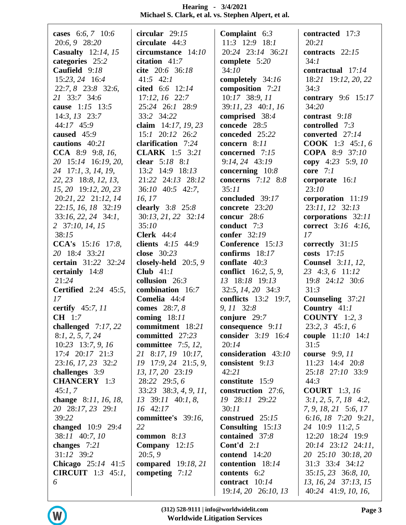| cases 6:6, 7 10:6           | circular $29:15$          | Complaint $6:3$             | contracted 17:3                |
|-----------------------------|---------------------------|-----------------------------|--------------------------------|
| 20:6, 9 28:20               | circulate 44:3            | $11:3$ $12:9$ $18:1$        | 20:21                          |
| <b>Casualty</b> 12:14, 15   | circumstance 14:10        | 20:24 23:14 36:21           | contracts $22:15$              |
| categories 25:2             | citation $41:7$           | complete 5:20               | 34:1                           |
| Caufield 9:18               | cite 20:6 36:18           | 34:10                       | contractual 17:14              |
| 15:23, 24 16:4              | $41:5$ $42:1$             | completely 34:16            | 18:21 19:12, 20, 22            |
| 22:7, 8 23:8 32:6,          | cited 6:6 12:14           | composition 7:21            | 34:3                           |
| 21 33:7 34:6                | $17:12, 16$ 22:7          | 10:17 38:9, 11              | contrary $9:6$ 15:17           |
| cause 1:15 13:5             | 25:24 26:1 28:9           | 39:11, 23 40:1, 16          | 34:20                          |
| $14:3$ , $13$ $23:7$        | 33:2 34:22                | comprised 38:4              | contrast $9:18$                |
| 44:17 45:9                  | claim $14:17, 19, 23$     | concede 28:5                | controlled $7:3$               |
| caused 45:9                 | $15:1$ $20:12$ $26:2$     | conceded 25:22              | converted 27:14                |
| cautions 40:21              | clarification 7:24        | concern $8:11$              | <b>COOK</b> 1:3 45:1, 6        |
| CCA 8:9 9:8, 16,            | <b>CLARK</b> 1:5 3:21     | concerned 7:15              | COPA 8:9 37:10                 |
| 20 15:14 16:19, 20,         | clear 5:18 8:1            | 9:14, 24 43:19              | copy 4:23 5:9, 10              |
| 24 17:1, 3, 14, 19,         | 13:2 14:9 18:13           | concerning $10:8$           | core $7:1$                     |
| 22, 23 18:8, 12, 13,        | 21:22 24:13 28:12         | concerns $7:12$ 8:8         | corporate 16:1                 |
| 15, 20 19:12, 20, 23        | $36:10$ 40:5 42:7,        | 35:11                       | 23:10                          |
| 20:21, 22 21:12, 14         | 16, 17                    | concluded 39:17             | corporation $11:19$            |
| 22:15, 16, 18 32:19         | clearly 3:8 25:8          | concrete 23:20              | 23:11, 12 32:13                |
| $33:16, 22, 24$ $34:1,$     | 30:13, 21, 22 32:14       | concur $28:6$               | corporations 32:11             |
| 2 37:10, 14, 15             | 35:10                     | conduct $7:3$               | <b>correct</b> 3:16 4:16,      |
| 38:15                       | <b>Clerk</b> 44:4         | confer 32:19                | 17                             |
| <b>CCA's</b> $15:16$ 17:8,  | clients $4:15$ $44:9$     | Conference 15:13            | correctly 31:15                |
| 20 18:4 33:21               | close 30:23               | confirms $18:17$            | costs $17:15$                  |
| certain 31:22 32:24         | closely-held 20:5, 9      | conflate $40:3$             | <b>Counsel</b> 3:11, 12,       |
| certainly 14:8              | Club $41:1$               | <b>conflict</b> 16:2, 5, 9, | 23 4:3, 6 11:12                |
| 21:24                       | collusion 26:3            | 13 18:18 19:13              | 19:8 24:12 30:6                |
| <b>Certified</b> 2:24 45:5, | combination 16:7          | 32:5, 14, 20 34:3           | 31:3                           |
| 17                          | Comelia 44:4              | conflicts 13:2 19:7,        | Counseling 37:21               |
| certify 45:7, 11            | comes 28:7, 8             | 9, 11 32:8                  | Country $41:1$                 |
| <b>CH</b> 1:7               | coming $18:11$            | conjure $29:7$              | <b>COUNTY</b> 1:2, 3           |
| challenged 7:17, 22         | commitment 18:21          | consequence $9:11$          | $23:2, 3$ 45:1, 6              |
| 8:1, 2, 5, 7, 24            | committed 27:23           | consider 3:19 16:4          | <b>couple</b> 11:10 14:1       |
| $10:23$ 13:7, 9, 16         | committee $7:5, 12,$      | 20:14                       | 31:5                           |
| $17:4$ $20:17$ $21:3$       | 21 8:17, 19 10:17,        | consideration 43:10         | course 9:9, 11                 |
| 23:16, 17, 23 32:2          | 19 17:9, 24 21:5, 9,      | consistent 9:13             | $11:23$ $14:4$ $20:8$          |
| challenges 3:9              | 13, 17, 20 23:19          | 42:21                       | 25:18 27:10 33:9               |
| <b>CHANCERY</b> 1:3         | 28:22 29:5, 6             | constitute 15:9             | 44:3                           |
| 45:1, 7                     | $33:23$ $38:3, 4, 9, 11,$ | construction 27:6,          | <b>COURT</b> 1:3, 16           |
| change 8:11, 16, 18,        | 13 39:11 40:1, 8,         | 19 28:11 29:22              | $3:1, 2, 5, 7, 18$ 4:2,        |
| 20 28:17, 23 29:1           | 16 42:17                  | 30:11                       | 7, 9, 18, 21 5:6, 17           |
| 39:22                       | committee's 39:16,        | construed $25:15$           | 6:16, 18 $7:20$ 9:21,          |
| changed $10:9$ 29:4         | 22                        | Consulting $15:13$          | 24 10:9 11:2, 5                |
| 38:11 40:7, 10              | common $8:13$             | contained 37:8              | 12:20 18:24 19:9               |
| changes $7:21$              | Company $12:15$           | <b>Cont'd</b> $2:1$         | 20:14 23:12 24:11,             |
| 31:12 39:2                  | 20:5,9                    | contend 14:20               | 20 25:10 30:18, 20             |
| <b>Chicago</b> $25:14$ 41:5 | <b>compared</b> 19:18, 21 | contention 18:14            | $31:3$ $33:4$ $34:12$          |
| <b>CIRCUIT</b> $1:3$ 45:1,  | competing $7:12$          | contents 6:2                | $35:15$ , $23$ $36:8$ , $10$ , |
| 6                           |                           | contract 10:14              | 13, 16, 24 37:13, 15           |
|                             |                           | 19:14, 20 26:10, 13         | 40:24 41:9, 10, 16,            |

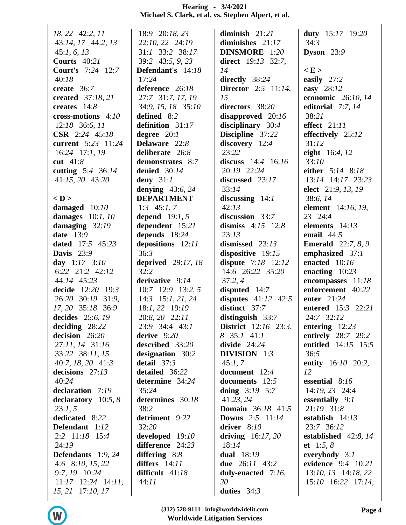| 18, 22 42:2, 11             | 18:9 20:18, 23            | diminish $21:21$             | duty $15:17$ 19:20                |
|-----------------------------|---------------------------|------------------------------|-----------------------------------|
| 43:14, 17 44:2, 13          | 22:10, 22 24:19           | diminishes $21:17$           | 34:3                              |
| 45:1, 6, 13                 | $31:1$ $33:2$ $38:17$     | DINSMORE 1:20                | Dyson $23:9$                      |
| Courts $40:21$              | 39:2 43:5, 9, 23          | direct $19:13$ 32:7,         |                                   |
| <b>Court's</b> 7:24 12:7    | Defendant's 14:18         | 14                           | E >                               |
| 40:18                       | 17:24                     | directly $38:24$             | easily $27:2$                     |
| create 36:7                 | deference 26:18           | <b>Director</b> 2:5 11:14,   | easy 28:12                        |
| created 37:18, 21           | 27:7 31:7, 17, 19         | 15                           | economic 26:10, 14                |
| creates $14:8$              | 34:9, 15, 18 35:10        | directors 38:20              | editorial $7:7,14$                |
| cross-motions $4:10$        | defined 8:2               | disapproved $20:16$          | 38:21                             |
| $12:18$ 36:6, 11            | definition 31:17          | disciplinary 30:4            | effect $21:11$                    |
| <b>CSR</b> $2:24$ 45:18     | degree $20:1$             | Discipline 37:22             | effectively 25:12                 |
| current 5:23 11:24          | Delaware 22:8             | discovery 12:4               | 31:12                             |
| $16:24$ 17:1, 19            | deliberate 26:8           | 23:22                        | eight 16:4, 12                    |
| cut $41:8$                  | demonstrates 8:7          | discuss $14:4$ 16:16         | 33:10                             |
| cutting $5:4$ 36:14         | denied $30:14$            | 20:19 22:24                  | either 5:14 8:18                  |
| 41:15, 20 43:20             | deny $31:1$               | discussed 23:17              | 13:14 14:17 23:23                 |
|                             | denying $43:6, 24$        | 33:14                        | elect 21:9, 13, 19                |
| $<$ D $>$                   | <b>DEPARTMENT</b>         |                              | 38:6, 14                          |
|                             |                           | discussing $14:1$<br>42:13   | element 14:16, 19,                |
| damaged $10:10$             | 1:3 $45:1, 7$             | discussion 33:7              | 23 24:4                           |
| damages $10:1, 10$          | depend $19:1, 5$          |                              | elements 14:13                    |
| damaging $32:19$            | dependent 15:21           | dismiss $4:15$ 12:8<br>23:13 | email $44:5$                      |
| date $13:9$                 | depends 18:24             |                              |                                   |
| <b>dated</b> 17:5 45:23     | depositions 12:11<br>36:3 | dismissed $23:13$            | <b>Emerald</b> 22:7, 8, 9         |
| Davis $23:9$                |                           | dispositive 19:15            | emphasized 37:1                   |
| day $1:17$ $3:10$           | <b>deprived</b> 29:17, 18 | dispute 7:18 12:12           | enacted 10:16                     |
| 6:22 21:2 42:12             | 32:2                      | 14:6 26:22 35:20             | enacting $10:23$                  |
| 44:14 45:23                 | derivative 9:14           | 37:2,4                       | encompasses 11:18                 |
| decide 12:20 19:3           | $10:7$ 12:9 13:2, 5       | disputed 14:7                | enforcement 40:22                 |
| 26:20 30:19 31:9,           | $14:3$ 15:1, 21, 24       | disputes $41:12$ 42:5        | enter 21:24                       |
| 17, 20 35:18 36:9           | 18:1, 22 19:19            | distinct 37:7                | entered 15:3 22:21                |
| decides 25:6, 19            | 20:8, 20 22:11            | distinguish $33:7$           | 24:7 32:12                        |
| deciding $28:22$            | 23:9 34:4 43:1            | <b>District</b> 12:16 23:3,  | entering $12:23$                  |
| decision 26:20              | derive $9:20$             | 8 35:1 41:1                  | entirely 28:7 29:2                |
| 27:11, 14 31:16             | described 33:20           | divide $24:24$               | entitled 14:15 15:5               |
| 33:22 38:11, 15             | designation 30:2          | <b>DIVISION</b> 1:3          | 36:5                              |
| 40:7, 18, 20 41:3           | detail $37:3$             | 45:1, 7                      | entity 16:10 20:2,                |
| decisions 27:13             | detailed 36:22            | document 12:4                | 12<br>essential $8:16$            |
| 40:24                       | determine 34:24           | documents 12:5               |                                   |
| declaration 7:19            | 35:24                     | doing $3:19$ 5:7             | $14:19, 23$ 24:4                  |
| declaratory $10:5, 8$       | determines 30:18          | 41:23, 24                    | essentially $9:1$<br>$21:19$ 31:8 |
| 23:1, 5                     | 38:2                      | <b>Domain</b> 36:18 41:5     |                                   |
| dedicated 8:22              | detriment 9:22            | <b>Downs</b> $2:5$ 11:14     | establish $14:13$                 |
| Defendant 1:12              | 32:20                     | driver $8:10$                | 23:7 36:12                        |
| 2:2 11:18 15:4              | developed 19:10           | driving $16:17, 20$          | established $42:8,14$             |
| 24:19                       | difference 24:23          | 18:14                        | et 1:5, $8$                       |
| <b>Defendants</b> $1:9, 24$ | differing $8:8$           | <b>dual</b> 18:19            | everybody $3:1$                   |
| 4:6 8:10, 15, 22            | differs $14:11$           | <b>due</b> 26:11 43:2        | evidence 9:4 10:21                |
| 9:7, 19 10:24               | difficult $41:18$         | duly-enacted 7:16,           | $13:10, 13$ $14:18, 22$           |
| $11:17$ $12:24$ $14:11$ ,   | 44:11                     | 20                           | $15:10$ $16:22$ $17:14$ ,         |
| 15, 21 17:10, 17            |                           | duties $34:3$                |                                   |

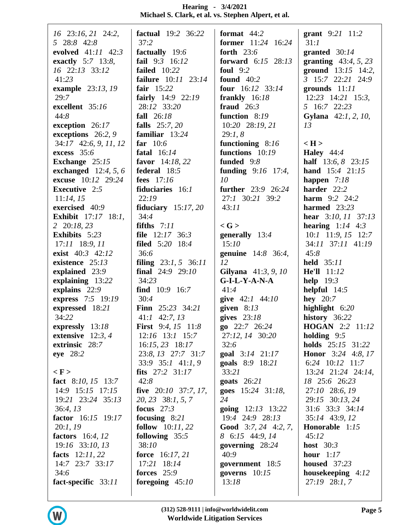| $16$ 23:16, 21 24:2,       | <b>factual</b> 19:2 36:22   | format $44:2$                 | grant 9:21 11:2               |
|----------------------------|-----------------------------|-------------------------------|-------------------------------|
| 5 28:8 42:8                | 37:2                        | <b>former</b> 11:24 16:24     | 31:1                          |
| evolved $41:11$ $42:3$     | factually 19:6              | forth $23:6$                  | granted $30:14$               |
| exactly 5:7 13:8,          | fail 9:3 16:12              | <b>forward</b> $6:15$ $28:13$ | granting $43:4, 5, 23$        |
| 16 22:13 33:12             | failed $10:22$              | foul $9:2$                    | ground $13:15$ 14:2,          |
| 41:23                      | failure 10:11 23:14         | found $40:2$                  | 3 15:7 22:21 24:9             |
| example 23:13, 19          | fair $15:22$                | four $16:12$ 33:14            | grounds $11:11$               |
| 29:7                       | fairly $14:9$ 22:19         | frankly $16:18$               | $12:23$ $14:21$ $15:3$ ,      |
| excellent 35:16            | 28:12 33:20                 | fraud $26:3$                  | 5 16:7 22:23                  |
| 44:8                       | fall 26:18                  | function 8:19                 | Gylana 42:1, 2, 10,           |
| exception 26:17            | falls 25:7, 20              | 10:20 28:19, 21               | 13                            |
| exceptions $26:2, 9$       | familiar $13:24$            | 29:1, 8                       |                               |
| 34:17 42:6, 9, 11, 12      | far $10:6$                  | functioning $8:16$            | $\langle H \rangle$           |
| excess 35:6                | fatal $16:14$               | functions 10:19               | <b>Haley</b> $44:4$           |
| Exchange 25:15             | favor 14:18, 22             | funded 9:8                    | <b>half</b> $13:6, 8$ $23:15$ |
| exchanged $12:4, 5, 6$     | federal 18:5                | funding $9:16$ 17:4,          | <b>hand</b> $15:4$ $21:15$    |
| excuse 10:12 29:24         | fees $17:16$                | 10                            | happen $7:18$                 |
| <b>Executive</b> 2:5       | fiduciaries 16:1            | <b>further</b> 23:9 26:24     | harder 22:2                   |
| 11:14, 15                  | 22:19                       | 27:1 30:21 39:2               | <b>harm</b> $9:2$ $24:2$      |
| exercised 40:9             | fiduciary $15:17,20$        | 43:11                         | harmed $23:23$                |
| <b>Exhibit</b> 17:17 18:1, | 34:4                        |                               | hear $3:10, 11$ $37:13$       |
| 2 20:18, 23                | fifths $7:11$               | $\langle G \rangle$           | hearing $1:14$ 4:3            |
| Exhibits 5:23              | file $12:17$ 36:3           | generally $13:4$              | $10:1$ 11:9, 15 12:7          |
| 17:11 18:9, 11             | <b>filed</b> 5:20 18:4      | 15:10                         | 34:11 37:11 41:19             |
| exist 40:3 42:12           | 36:6                        | genuine 14:8 36:4,            | 45:8                          |
| existence $25:13$          | filing $23:1, 5$ 36:11      | 12                            | <b>held</b> 35:11             |
| explained 23:9             | final $24:9$ $29:10$        | Gilyana 41:3, 9, 10           | He'll 11:12                   |
| explaining 13:22           | 34:23                       | $G-I-L-Y-A-N-A$               | help $19:3$                   |
| explains 22:9              | find 10:9 16:7              | 41:4                          | helpful $14:5$                |
| express 7:5 19:19          | 30:4                        | give 42:1 44:10               | hey $20:7$                    |
| expressed 18:21            | <b>Finn</b> $25:23$ $34:21$ | given $8:13$                  | highlight $6:20$              |
| 34:22                      | $41:1$ 42:7, 13             | gives $23:18$                 | history 36:22                 |
| expressly 13:18            | <b>First</b> 9:4, 15 11:8   | $g_0$ 22:7 26:24              | <b>HOGAN</b> 2:2 11:12        |
| extensive $12:3, 4$        | $12:16$ 13:1 15:7           | 27:12, 14 30:20               | holding $9:5$                 |
| extrinsic 28:7             | $16:15, 23$ 18:17           | 32:6                          | <b>holds</b> 25:15 31:22      |
| eye 28:2                   | 23:8, 13 27:7 31:7          | <b>goal</b> $3:14$ $21:17$    | <b>Honor</b> 3:24 4:8, 17     |
|                            | 33:9 35:1 41:1, 9           | goals 8:9 18:21               | 6:24 $10:12$ 11:7             |
| $\langle F \rangle$        | fits $27:2$ $31:17$         | 33:21                         | 13:24 21:24 24:14,            |
| fact $8:10, 15$ 13:7       | 42:8                        | goats $26:21$                 | 18 25:6 26:23                 |
| 14:9 15:15 17:15           | five $20:10$ 37:7, 17,      | <b>goes</b> $15:24$ $31:18$ , | 27:10 28:6, 19                |
| 19:21 23:24 35:13          | 20, 23 38:1, 5, 7           | 24                            | 29:15 30:13, 24               |
| 36:4, 13                   | focus $27:3$                | <b>going</b> $12:13$ $13:22$  | 31:6 33:3 34:14               |
| factor 16:15 19:17         | focusing $8:21$             | 19:4 24:9 28:13               | 35:14 43:9, 12                |
| 20:1, 19                   | <b>follow</b> $10:11,22$    | <b>Good</b> 3:7, 24 4:2, 7,   | Honorable 1:15                |
| factors $16:4, 12$         | following $35:5$            | 8 6:15 44:9, 14               | 45:12                         |
| 19:16 33:10, 13            | 38:10                       | governing $28:24$             | host $30:3$                   |
| facts $12:11,22$           | <b>force</b> $16:17, 21$    | 40:9                          | hour $1:17$                   |
| 14:7 23:7 33:17            | 17:21 18:14                 | government 18:5               | <b>housed</b> 37:23           |
| 34:6                       | forces $25:9$               | governs $10:15$               | housekeeping $4:12$           |
| fact-specific 33:11        | foregoing $45:10$           | 13:18                         | 27:19 28:1, 7                 |
|                            |                             |                               |                               |

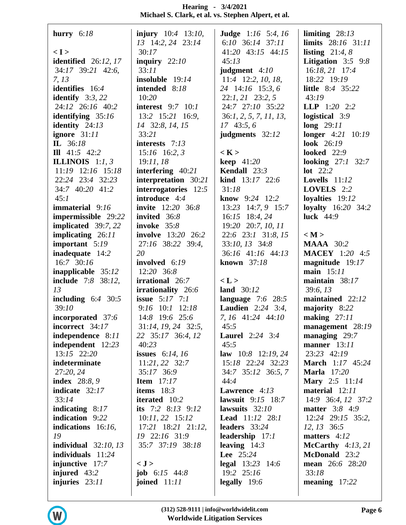| hurry $6:18$              | <b>injury</b> $10:4$ 13:10, | <b>Judge</b> $1:16$ 5:4, 16 | limiting $28:13$                 |
|---------------------------|-----------------------------|-----------------------------|----------------------------------|
|                           | 13 14:2, 24 23:14           | 6:10 $36:14$ $37:11$        | limits 28:16 31:11               |
| < I >                     | 30:17                       | 41:20 43:15 44:15           | listing $21:4, 8$                |
| identified $26:12,17$     | inquiry $22:10$             | 45:13                       | Litigation $3:5$ 9:8             |
| 34:17 39:21 42:6,         | 33:11                       | judgment $4:10$             | 16:18, 21 17:4                   |
| 7, 13                     | insoluble 19:14             | 11:4 12:2, 10, 18,          | 18:22 19:19                      |
| <b>identifies</b> 16:4    | intended 8:18               | 24 14:16 15:3, 6            | <b>little</b> 8:4 35:22          |
| identify $3:3,22$         | 10:20                       | $22:1, 21$ $23:2, 5$        | 43:19                            |
| 24:12 26:16 40:2          | <b>interest</b> 9:7 10:1    | 24:7 27:10 35:22            | <b>LLP</b> $1:20$ $2:2$          |
| identifying $35:16$       | 13:2 15:21 16:9,            | 36:1, 2, 5, 7, 11, 13,      | logistical 3:9                   |
| identity $24:13$          | 14 32:8, 14, 15             | $17\;43:5,6$                | long $29:11$                     |
| ignore 31:11              | 33:21                       | judgments 32:12             | <b>longer</b> $4:21 \quad 10:19$ |
| IL 36:18                  | interests 7:13              |                             | <b>look</b> 26:19                |
| III $41:5$ $42:2$         | $15:16$ 16:2, 3             | $\langle K \rangle$         | <b>looked</b> 22:9               |
| <b>ILLINOIS</b> $1:1, 3$  | 19:11,18                    | keep $41:20$                | looking $27:1$ 32:7              |
| $11:19$ $12:16$ $15:18$   | interfering $40:21$         | Kendall 23:3                | $lot$ 22:2                       |
| 22:24 23:4 32:23          | interpretation 30:21        | kind 13:17 22:6             | Lovells $11:12$                  |
| 34:7 40:20 41:2           | interrogatories 12:5        | 31:18                       | <b>LOVELS</b> $2:2$              |
| 45:1                      | introduce 4:4               | <b>know</b> 9:24 $12:2$     | loyalties $19:12$                |
| immaterial 9:16           | <b>invite</b> 12:20 36:8    | 13:23 14:7, 9 15:7          | loyalty $16:20$ 34:2             |
| impermissible 29:22       | invited 36:8                | 16:15 18:4, 24              | luck $44:9$                      |
| implicated 39:7, 22       | invoke 35:8                 | 19:20 20:7, 10, 11          |                                  |
| implicating 26:11         | <b>involve</b> 13:20 26:2   | 22:6 23:1 31:8, 15          | < M >                            |
| important $5:19$          | 27:16 38:22 39:4,           | 33:10, 13 34:8              | <b>MAAA</b> 30:2                 |
| inadequate 14:2           | 20                          | 36:16 41:16 44:13           | <b>MACEY</b> 1:20 4:5            |
| 16:7 30:16                | involved 6:19               | <b>known</b> 37:18          | magnitude 19:17                  |
| inapplicable 35:12        | 12:20 36:8                  |                             | main 15:11                       |
| <b>include</b> 7:8 38:12, | <b>irrational</b> 26:7      | < L >                       | maintain 38:17                   |
| 13                        | irrationality 26:6          | land 30:12                  | 39:6, 13                         |
| including $6:4$ 30:5      | <b>issue</b> $5:17$ $7:1$   | language $7:6$ 28:5         | maintained 22:12                 |
| 39:10                     | $9:16$ 10:1 12:18           | <b>Laudien</b> 2:24 3:4,    | majority 8:22                    |
| incorporated 37:6         | 14:8 19:6 25:6              | 7, 16 41:24 44:10           | making $27:11$                   |
| incorrect 34:17           | 31:14, 19, 24 32:5,         | 45:5                        | management 28:19                 |
| independence 8:11         | 22 35:17 36:4, 12           | <b>Laurel</b> $2:24$ $3:4$  | managing $29:7$                  |
| independent $12:23$       | 40:23                       | 45:5                        | manner $13:11$                   |
| 13:15 22:20               | <b>issues</b> 6:14, 16      | law $10:8$ 12:19, 24        | 23:23 42:19                      |
| indeterminate             | $11:21, 22$ 32:7            | 15:18 22:24 32:23           | <b>March</b> 1:17 45:24          |
| 27:20, 24                 | 35:17 36:9                  | 34:7 35:12 36:5, 7          | <b>Marla</b> 17:20               |
| <b>index</b> 28:8, 9      | <b>Item</b> $17:17$         | 44:4                        | Mary 2:5 11:14                   |
| indicate 32:17            | items $18:3$                | <b>Lawrence</b> $4:13$      | material 12:11                   |
| 33:14                     | <b>iterated</b> 10:2        | lawsuit $9:15$ 18:7         | 14:9 36:4, 12 37:2               |
| indicating $8:17$         | its $7:2$ 8:13 9:12         | lawsuits $32:10$            | <b>matter</b> 3:8 4:9            |
| indication 9:22           | $10:11, 22$ 15:12           | <b>Lead</b> $11:12$ $28:1$  | $12:24$ $29:15$ $35:2$ ,         |
| indications $16:16$ ,     | $17:21$ $18:21$ $21:12$ ,   | leaders $33:24$             | $12, 13$ 36:5                    |
| 19                        | 19 22:16 31:9               | leadership 17:1             | matters $4:12$                   |
| individual $32:10, 13$    | 35:7 37:19 38:18            | leaving $14:3$              | McCarthy $4:13,21$               |
| individuals $11:24$       |                             | <b>Lee</b> $25:24$          | McDonald 23:2                    |
| injunctive $17:7$         | < J >                       | <b>legal</b> $13:23$ $14:6$ | <b>mean</b> $26:6$ $28:20$       |
| injured 43:2              | <b>job</b> $6:15$ 44:8      | 19:2 25:16                  | 33:18                            |
| injuries $23:11$          | joined $11:11$              | legally $19:6$              | meaning $17:22$                  |
|                           |                             |                             |                                  |
|                           |                             |                             |                                  |

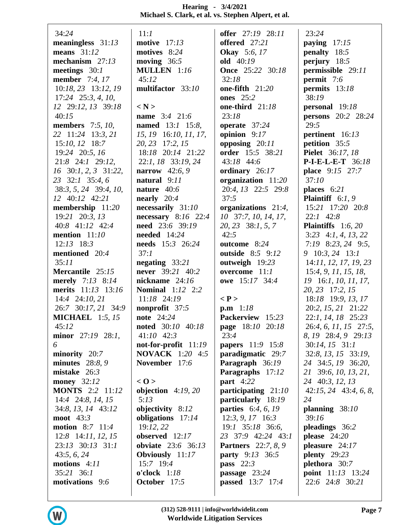| 34:24                             | 11:1                      | offer 27:19 28:11          | 23:24                       |
|-----------------------------------|---------------------------|----------------------------|-----------------------------|
| meaningless $31:13$               | motive $17:13$            | offered 27:21              | paying $17:15$              |
| means $31:12$                     | motives 8:24              | <b>Okay</b> 5:6, 17        | penalty 18:5                |
| mechanism $27:13$                 | moving $36:5$             | old 40:19                  | perjury $18:5$              |
| meetings $30:1$                   | MULLEN 1:16               | <b>Once</b> 25:22 30:18    | permissible 29:11           |
| <b>member</b> 7:4, 17             | 45:12                     | 32:18                      | permit 7:6                  |
| 10:18, 23 13:12, 19               | multifactor 33:10         | one-fifth $21:20$          | permits 13:18               |
| $17:24$ $25:3, 4, 10,$            |                           | <b>ones</b> 25:2           | 38:19                       |
| 12 29:12, 13 39:18                | $\langle N \rangle$       | one-third 21:18            | personal 19:18              |
| 40:15                             | <b>name</b> 3:4 21:6      | 23:18                      | <b>persons</b> 20:2 28:24   |
| members $7:5, 10,$                | <b>named</b> 13:1 15:8,   | operate 37:24              | 29:5                        |
| 22 11:24 13:3, 21                 | 15, 19 16:10, 11, 17,     | opinion $9:17$             | pertinent 16:13             |
| $15:10, 12$ 18:7                  | 20, 23 17:2, 15           | opposing $20:11$           | petition 35:5               |
| 19:24 20:5, 16                    | 18:18 20:14 21:22         | order 15:5 38:21           | <b>Pielet</b> 36:17, 18     |
| $21:8$ 24:1 29:12,                | 22:1, 18 33:19, 24        | 43:18 44:6                 | P-I-E-L-E-T 36:18           |
| 16 30:1, 2, 3 31:22,              | <b>narrow</b> 42:6, 9     | ordinary 26:17             | place 9:15 27:7             |
| 23 32:1 35:4, 6                   | natural $9:11$            | organization 11:20         | 37:10                       |
| 38:3, 5, 24 39:4, 10,             | nature $40:6$             | 20:4, 13 22:5 29:8         | places $6:21$               |
| 12 40:12 42:21                    | nearly $20:4$             | 37:5                       | Plaintiff $6:1, 9$          |
| membership 11:20                  | necessarily $31:10$       | organizations $21:4$ ,     | 15:21 17:20 20:8            |
| 19:21 20:3, 13                    | necessary $8:16$ 22:4     | 10 37:7, 10, 14, 17,       | $22:1$ 42:8                 |
| 40:8 41:12 42:4                   | need 23:6 39:19           | 20, 23 38:1, 5, 7          | <b>Plaintiffs</b> $1:6, 20$ |
| mention $11:10$                   | needed $14:24$            | 42:5                       | $3:23$ 4:1, 4, 13, 22       |
| $12:13$ 18:3                      | needs 15:3 26:24          | outcome 8:24               | 7:19 8:23, 24 9:5,          |
| mentioned 20:4                    | 37:1                      | outside 8:5 9:12           | 9 10:3, 24 13:1             |
| 35:11                             | negating $33:21$          | outweigh $19:23$           | 14:11, 12, 17, 19, 23       |
| Mercantile 25:15                  | never 39:21 40:2          | overcome $11:1$            | 15:4, 9, 11, 15, 18,        |
| merely 7:13 8:14                  | nickname 24:16            | owe 15:17 34:4             | 19 16:1, 10, 11, 17,        |
| merits 11:13 13:16                | <b>Nominal</b> 1:12 2:2   |                            | 20, 23 17:2, 15             |
| $14:4$ $24:10,21$                 | $11:18$ 24:19             | $\langle P \rangle$        | 18:18 19:9, 13, 17          |
| 26:7 30:17, 21 34:9               | nonprofit 37:5            | $p.m$ 1:18                 | 20:2, 15, 21 21:22          |
| <b>MICHAEL</b> $1:5$ , $15$       | note 24:24                | Packerview 15:23           | 22:1, 14, 18 25:23          |
| 45:12                             | noted 30:10 40:18         | page 18:10 20:18           | 26:4, 6, 11, 15 27:5,       |
| minor $27:19$ $28:1$ ,            | $41:10$ $42:3$            | 23:4                       | 8, 19 28:4, 9 29:13         |
| 6                                 | not-for-profit $11:19$    | <b>papers</b> 11:9 15:8    | $30:14, 15$ $31:1$          |
|                                   | <b>NOVACK</b> 1:20 4:5    | paradigmatic 29:7          | 32:8, 13, 15 33:19,         |
| minority 20:7<br>minutes $28:8,9$ | November 17:6             | <b>Paragraph</b> 36:19     | 24 34:5, 19 36:20,          |
| mistake $26:3$                    |                           | Paragraphs 17:12           | 21 39:6, 10, 13, 21,        |
| <b>money</b> 32:12                | 0>                        | part $4:22$                | 24 40:3, 12, 13             |
| <b>MONTS</b> 2:2 11:12            | objection $4:19,20$       | participating $21:10$      | $42:15, 24$ $43:4, 6, 8,$   |
| 14:4 24:8, 14, 15                 | 5:13                      | particularly 18:19         | 24                          |
| 34:8, 13, 14 43:12                | objectivity 8:12          | <b>parties</b> 6:4, 6, 19  | planning $38:10$            |
| moot $43:3$                       | obligations 17:14         | $12:3, 9, 17$ 16:3         | 39:16                       |
| <b>motion</b> 8:7 $11:4$          | 19:12, 22                 | $19:1$ 35:18 36:6,         | pleadings 36:2              |
| $12:8$ 14:11, 12, 15              | observed $12:17$          | 23 37:9 42:24 43:1         | please $24:20$              |
| 23:13 30:13 31:1                  | <b>obviate</b> 23:6 36:13 | <b>Partners</b> 22:7, 8, 9 | pleasure $24:17$            |
| 43:5, 6, 24                       | Obviously 11:17           | <b>party</b> 9:13 36:5     | plenty $29:23$              |
| motions $4:11$                    | 15:7 19:4                 | pass $22:3$                | plethora 30:7               |
| $35:21$ $36:1$                    | $o'clock$ 1:18            | passage $23:24$            | point 11:13 13:24           |
| motivations 9:6                   | October 17:5              | <b>passed</b> 13:7 17:4    | 22:6 24:8 30:21             |
|                                   |                           |                            |                             |
|                                   |                           |                            |                             |

**Hearing - 3/4/2021 Michael S. Clark, et al. vs. Stephen Alpert, et al.**

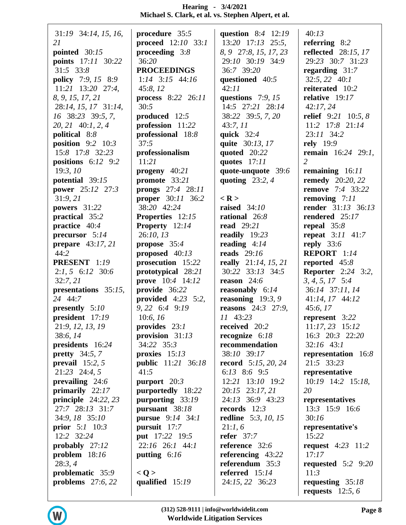| 31:19 34:14, 15, 16,           | procedure 35:5            | question 8:4 12:19           | 40:13                            |
|--------------------------------|---------------------------|------------------------------|----------------------------------|
| 21                             | proceed 12:10 33:1        | $13:20$ $17:13$ $25:5$ ,     | referring $8:2$                  |
| pointed $30:15$                | proceeding $3:8$          | 8, 9 27:8, 15, 17, 23        | <b>reflected</b> 28:15, 17       |
| <b>points</b> 17:11 30:22      | 36:20                     | 29:10 30:19 34:9             | 29:23 30:7 31:23                 |
| $31:5$ $33:8$                  | <b>PROCEEDINGS</b>        | 36:7 39:20                   | regarding $31:7$                 |
| <b>policy</b> 7:9, 15 8:9      | $1:14$ $3:15$ $44:16$     | questioned 40:5              | $32:5, 22$ 40:1                  |
| $11:21$ 13:20 27:4,            | 45:8, 12                  | 42:11                        | reiterated 10:2                  |
| 8, 9, 15, 17, 21               | process 8:22 26:11        | questions $7:9, 15$          | relative $19:17$                 |
| 28:14, 15, 17 31:14,           | 30:5                      | 14:5 27:21 28:14             | 42:17,24                         |
| 16 38:23 39:5, 7,              | produced 12:5             | 38:22 39:5, 7, 20            | relief $9:21$ 10:5, 8            |
| 20, 21 40:1, 2, 4              | profession 11:22          | 43:7,11                      | 11:2 17:8 21:14                  |
| political 8:8                  | professional 18:8         | quick $32:4$                 | 23:11 34:2                       |
| position $9:2$ 10:3            | 37:5                      | quite 30:13, 17              | <b>rely</b> 19:9                 |
| 15:8 17:8 32:23                | professionalism           | quoted 20:22                 | <b>remain</b> 16:24 29:1,        |
| positions $6:12$ 9:2           | 11:21                     | quotes $17:11$               | $\overline{2}$                   |
| 19:3,10                        | progeny 40:21             | quote-unquote 39:6           | remaining $16:11$                |
| potential 39:15                | promote 33:21             | quoting $23:2, 4$            | <b>remedy</b> 20:20, 22          |
| <b>power</b> 25:12 27:3        | prongs 27:4 28:11         |                              | <b>remove</b> 7:4 33:22          |
| 31:9,21                        | <b>proper</b> 30:11 36:2  | $<$ R $>$                    | removing $7:11$                  |
| powers 31:22                   | 38:20 42:24               | raised $34:10$               | <b>render</b> 31:13 36:13        |
| practical 35:2                 | <b>Properties</b> 12:15   | rational 26:8                | rendered 25:17                   |
| practice 40:4                  | <b>Property</b> 12:14     | <b>read</b> 29:21            | repeal $35:8$                    |
| precursor $5:14$               | 26:10, 13                 | readily 19:23                | <b>repeat</b> $3:11$ $41:7$      |
| prepare $43:17,21$             | propose $35:4$            | reading $4:14$               | reply $33:6$                     |
| 44:2                           | proposed $40:13$          | <b>reads</b> 29:16           | REPORT 1:14                      |
| <b>PRESENT</b> 1:19            | prosecution 15:22         | really $21:14, 15, 21$       | reported 45:8                    |
| $2:1, 5 \quad 6:12 \quad 30:6$ | prototypical 28:21        | 30:22 33:13 34:5             | <b>Reporter</b> 2:24 3:2,        |
| 32:7, 21                       | <b>prove</b> 10:4 14:12   | reason $24:6$                | $3, 4, 5, 17$ 5:4                |
| presentations 35:15,           | provide 36:22             | <b>reasonably</b> $6:14$     | 36:14 37:11, 14                  |
| 24 44:7                        | provided $4:23$ 5:2,      | reasoning $19:3, 9$          | 41:14, 17 44:12                  |
| presently $5:10$               | 9, 22 6:4 9:19            | <b>reasons</b> 24:3 27:9,    | 45:6, 17                         |
| president 17:19                | 10:6, 16                  | 11 43:23                     | represent 3:22                   |
| 21:9, 12, 13, 19               | provides $23:1$           | received 20:2                | $11:17,23$ 15:12                 |
| 38:6, 14                       | provision $31:13$         | recognize $6:18$             | $16:3$ $20:3$ $22:20$            |
| presidents 16:24               | 34:22 35:3                | recommendation               | $32:16$ 43:1                     |
| pretty $34:5, 7$               | proxies $15:13$           | 38:10 39:17                  | representation $16:8$            |
| prevail $15:2, 5$              | <b>public</b> 11:21 36:18 | <b>record</b> $5:15, 20, 24$ | 21:5 33:23                       |
| $21:23$ $24:4,5$               | 41:5                      | 6:13 8:6 9:5                 | representative                   |
| prevailing $24:6$              | purport $20:3$            | 12:21 13:10 19:2             | $10:19$ 14:2 15:18,              |
| primarily $22:17$              | purportedly 18:22         | 20:15 23:17, 21              | 20                               |
| principle $24:22, 23$          | purporting 33:19          | 24:13 36:9 43:23             | representatives                  |
| 27:7 28:13 31:7                | pursuant 38:18            | records $12:3$               | 13:3 15:9 16:6                   |
| 34:9, 18 35:10                 | <b>pursue</b> 9:14 34:1   | <b>redline</b> 5:3, 10, 15   | 30:16                            |
| <b>prior</b> $5:1 \ 10:3$      | pursuit 17:7              | 21:1,6                       | representative's                 |
| 12:2 32:24                     | <b>put</b> 17:22 19:5     | refer $37:7$                 | 15:22                            |
| probably $27:12$               | 22:16 26:1 44:1           | reference $32:6$             | <b>request</b> $4:23 \quad 11:2$ |
| problem $18:16$                | putting $6:16$            | referencing $43:22$          | 17:17                            |
| 28:3,4                         |                           | referendum $35:3$            | requested $5:2$ 9:20             |
| problematic 35:9               | < Q >                     | referred $15:14$             | 11:3                             |
| problems $27:6, 22$            | qualified $15:19$         | 24:15, 22 36:23              | requesting $35:18$               |
|                                |                           |                              | requests $12:5, 6$               |
|                                |                           |                              |                                  |

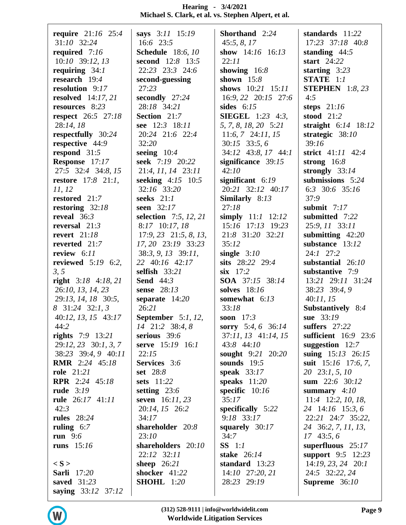| require $21:16$ 25:4      | says 3:11 15:19           | Shorthand 2:24               | standards 11:22          |
|---------------------------|---------------------------|------------------------------|--------------------------|
| 31:10 32:24               | 16:6 23:5                 | 45:5, 8, 17                  | 17:23 37:18 40:8         |
| required 7:16             | <b>Schedule</b> 18:6, 10  | show $14:16$ $16:13$         | standing $44:5$          |
| $10:10$ 39:12, 13         | <b>second</b> 12:8 13:5   | 22:11                        | start $24:22$            |
| requiring $34:1$          | 22:23 23:3 24:6           | showing $16:8$               | starting $3:23$          |
| research 19:4             |                           | shown $15:8$                 | STATE 1:1                |
|                           | second-guessing           |                              |                          |
| resolution 9:17           | 27:23                     | shows $10:21$ $15:11$        | <b>STEPHEN</b> $1:8, 23$ |
| resolved $14:17, 21$      | secondly 27:24            | 16:9, 22 20:15 27:6          | 4:5                      |
| resources 8:23            | 28:18 34:21               | sides $6:15$                 | steps $21:16$            |
| <b>respect</b> 26:5 27:18 | Section 21:7              | <b>SIEGEL</b> $1:23$ $4:3$ , | stood $21:2$             |
| 28:14, 18                 | see 12:3 18:11            | 5, 7, 8, 18, 20 5:21         | straight $6:14$ 18:12    |
| respectfully 30:24        | 20:24 21:6 22:4           | $11:6, 7$ 24:11, 15          | strategic $38:10$        |
|                           | 32:20                     | $30:15$ 33:5, 6              | 39:16                    |
| respective 44:9           |                           |                              |                          |
| respond $31:5$            | seeing $10:4$             | 34:12 43:8, 17 44:1          | strict 41:11 42:4        |
| Response 17:17            | seek 7:19 20:22           | significance $39:15$         | strong $16:8$            |
| 27:5 32:4 34:8, 15        | 21:4, 11, 14 23:11        | 42:10                        | strongly $33:14$         |
| <b>restore</b> 17:8 21:1, | seeking $4:15$ 10:5       | significant $6:19$           | submissions 5:24         |
| 11, 12                    | 32:16 33:20               | 20:21 32:12 40:17            | 6:3 30:6 35:16           |
| restored 21:7             | seeks $21:1$              | Similarly $8:13$             | 37:9                     |
| restoring $32:18$         | seen 32:17                | 27:18                        | submit $7:17$            |
|                           |                           |                              |                          |
| reveal $36:3$             | selection 7:5, 12, 21     | simply $11:1$ $12:12$        | submitted 7:22           |
| reversal $21:3$           | 8:17 10:17, 18            | 15:16 17:13 19:23            | 25:9, 11 33:11           |
| revert $21:18$            | $17:9, 23$ $21:5, 8, 13,$ | 21:8 31:20 32:21             | submitting $42:20$       |
| reverted 21:7             | 17, 20 23:19 33:23        | 35:12                        | substance 13:12          |
| review $6:11$             | $38:3, 9, 13$ $39:11$ ,   | single $3:10$                | $24:1$ $27:2$            |
| reviewed $5:19$ 6:2,      | 22 40:16 42:17            | sits 28:22 29:4              | substantial 26:10        |
|                           |                           |                              |                          |
| 3, 5                      | selfish 33:21             | $\textbf{six}$ 17:2          | substantive 7:9          |
| right $3:18$ 4:18, 21     | <b>Send</b> 44:3          | SOA 37:15 38:14              | 13:21 29:11 31:24        |
| 26:10, 13, 14, 23         | sense 28:13               | solves 18:16                 | 38:23 39:4, 9            |
| 29:13, 14, 18 30:5,       | separate $14:20$          | somewhat 6:13                | 40:11, 15                |
| 8 31:24 32:1, 3           | 26:21                     | 33:18                        | Substantively 8:4        |
| 40:12, 13, 15 43:17       | September $5:1, 12$ ,     | soon $17:3$                  | sue 33:19                |
| 44:2                      | 14 21:2 38:4, 8           | sorry 5:4, 6 36:14           | suffers $27:22$          |
|                           |                           |                              |                          |
| <b>rights</b> $7:9$ 13:21 | serious 39:6              | 37:11, 13 41:14, 15          | sufficient 16:9 23:6     |
| $29:12, 23$ 30:1, 3, 7    | serve 15:19 16:1          | 43:8 44:10                   | suggestion $12:7$        |
| 38:23 39:4, 9 40:11       | 22:15                     | sought 9:21 20:20            | suing 15:13 26:15        |
| <b>RMR</b> 2:24 45:18     | Services 3:6              | sounds $19:5$                | suit $15:16$ 17:6, 7,    |
| <b>role</b> 21:21         | set 28:8                  | speak $33:17$                | 20 23:1, 5, 10           |
| <b>RPR</b> 2:24 45:18     | <b>sets</b> 11:22         | speaks $11:20$               | sum $22:6$ 30:12         |
| rude $3:19$               | setting $23:6$            | specific $10:16$             | summary $4:10$           |
| rule 26:17 41:11          | seven $16:11,23$          | 35:17                        | $11:4$ 12:2, 10, 18,     |
|                           |                           |                              |                          |
| 42:3                      | 20:14, 15 26:2            | specifically $5:22$          | 24 14:16 15:3,6          |
| <b>rules</b> 28:24        | 34:17                     | $9:18$ 33:17                 | 22:21 24:7 35:22,        |
| ruling $6:7$              | shareholder 20:8          | squarely $30:17$             | 24 36:2, 7, 11, 13,      |
| run $9:6$                 | 23:10                     | 34:7                         | $17\;43:5,6$             |
| runs $15:16$              | shareholders 20:10        | $SS$ 1:1                     | superfluous $25:17$      |
|                           | 22:12 32:11               | stake $26:14$                | support $9:5$ 12:23      |
| $\langle S \rangle$       | sheep $26:21$             | standard 13:23               | $14:19, 23, 24$ 20:1     |
|                           |                           |                              |                          |
| <b>Sarli</b> 17:20        | shocker 41:22             | 14:10 27:20, 21              | 24:5 32:22, 24           |
| saved $31:23$             | <b>SHOHL</b> 1:20         | 28:23 29:19                  | Supreme $36:10$          |
| saying 33:12 37:12        |                           |                              |                          |